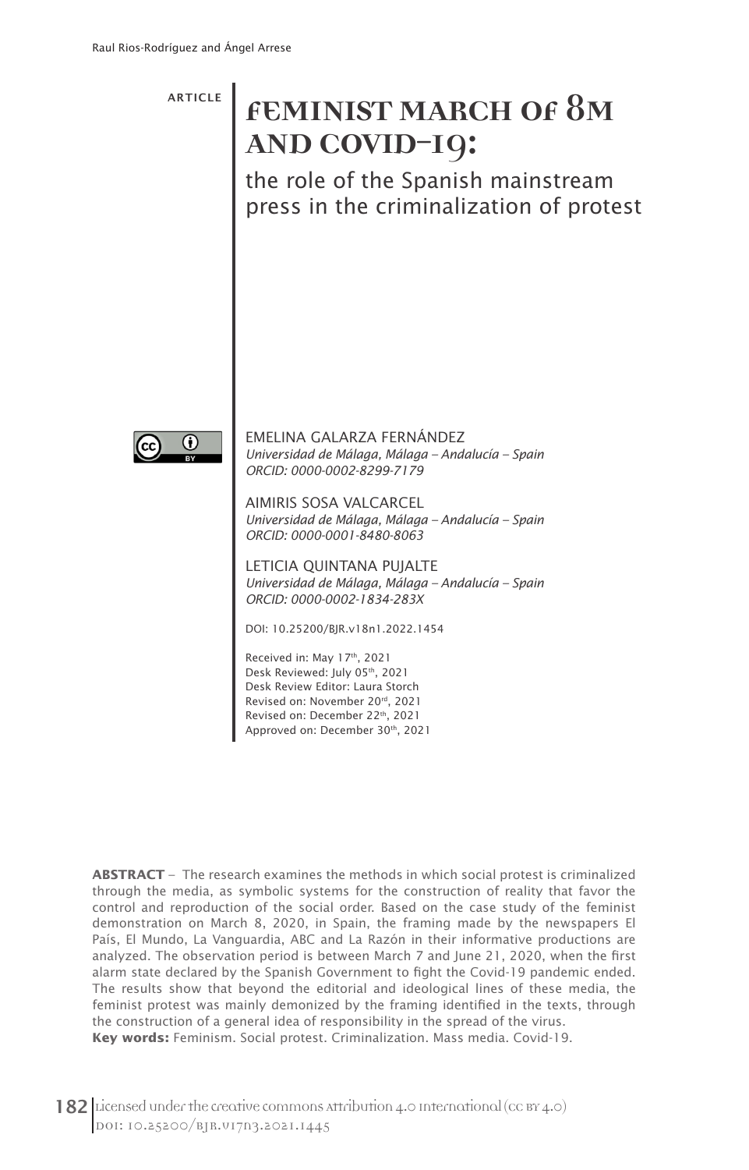ARTICLE

# **FEMINIST MARCH OF 8M AND COVID-19:**

the role of the Spanish mainstream press in the criminalization of protest



EMELINA GALARZA FERNÁNDEZ *Universidad de Málaga, Málaga – Andalucía – Spain ORCID: 0000-0002-8299-7179*

AIMIRIS SOSA VALCARCEL *Universidad de Málaga, Málaga – Andalucía – Spain ORCID: 0000-0001-8480-8063*

LETICIA QUINTANA PUJALTE *Universidad de Málaga, Málaga – Andalucía – Spain ORCID: 0000-0002-1834-283X*

DOI: 10.25200/BJR.v18n1.2022.1454

Received in: May 17th, 2021 Desk Reviewed: July 05th, 2021 Desk Review Editor: Laura Storch Revised on: November 20rd, 2021 Revised on: December 22th, 2021 Approved on: December 30th, 2021

**ABSTRACT** – The research examines the methods in which social protest is criminalized through the media, as symbolic systems for the construction of reality that favor the control and reproduction of the social order. Based on the case study of the feminist demonstration on March 8, 2020, in Spain, the framing made by the newspapers El País, El Mundo, La Vanguardia, ABC and La Razón in their informative productions are analyzed. The observation period is between March 7 and June 21, 2020, when the first alarm state declared by the Spanish Government to fight the Covid-19 pandemic ended. The results show that beyond the editorial and ideological lines of these media, the feminist protest was mainly demonized by the framing identified in the texts, through the construction of a general idea of responsibility in the spread of the virus. **Key words:** Feminism. Social protest. Criminalization. Mass media. Covid-19.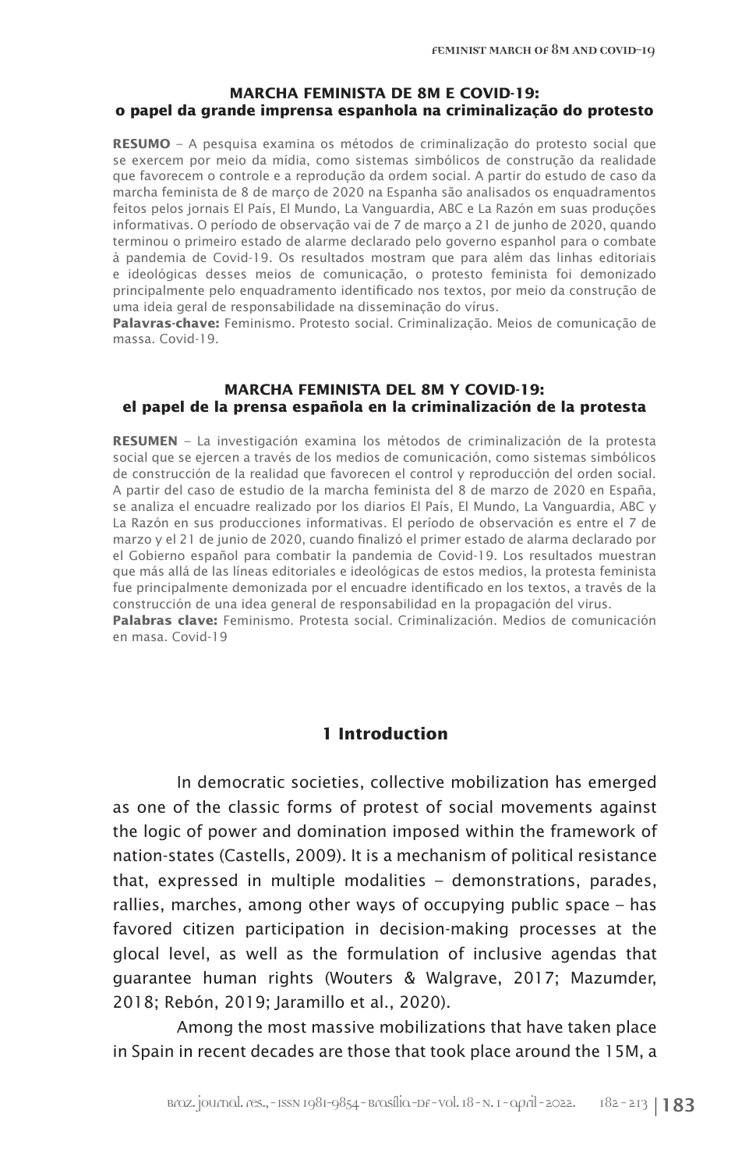### **MARCHA FEMINISTA DE 8M E COVID-19: o papel da grande imprensa espanhola na criminalização do protesto**

**RESUMO** – A pesquisa examina os métodos de criminalização do protesto social que se exercem por meio da mídia, como sistemas simbólicos de construção da realidade que favorecem o controle e a reprodução da ordem social. A partir do estudo de caso da marcha feminista de 8 de março de 2020 na Espanha são analisados os enquadramentos feitos pelos jornais El País, El Mundo, La Vanguardia, ABC e La Razón em suas produções informativas. O período de observação vai de 7 de março a 21 de junho de 2020, quando terminou o primeiro estado de alarme declarado pelo governo espanhol para o combate à pandemia de Covid-19. Os resultados mostram que para além das linhas editoriais e ideológicas desses meios de comunicação, o protesto feminista foi demonizado principalmente pelo enquadramento identificado nos textos, por meio da construção de uma ideia geral de responsabilidade na disseminação do vírus.

**Palavras-chave:** Feminismo. Protesto social. Criminalização. Meios de comunicação de massa. Covid-19.

### **MARCHA FEMINISTA DEL 8M Y COVID-19: el papel de la prensa española en la criminalización de la protesta**

**RESUMEN** – La investigación examina los métodos de criminalización de la protesta social que se ejercen a través de los medios de comunicación, como sistemas simbólicos de construcción de la realidad que favorecen el control y reproducción del orden social. A partir del caso de estudio de la marcha feminista del 8 de marzo de 2020 en España, se analiza el encuadre realizado por los diarios El País, El Mundo, La Vanguardia, ABC y La Razón en sus producciones informativas. El período de observación es entre el 7 de marzo y el 21 de junio de 2020, cuando finalizó el primer estado de alarma declarado por el Gobierno español para combatir la pandemia de Covid-19. Los resultados muestran que más allá de las líneas editoriales e ideológicas de estos medios, la protesta feminista fue principalmente demonizada por el encuadre identificado en los textos, a través de la construcción de una idea general de responsabilidad en la propagación del virus. **Palabras clave:** Feminismo. Protesta social. Criminalización. Medios de comunicación en masa. Covid-19

# **1 Introduction**

In democratic societies, collective mobilization has emerged as one of the classic forms of protest of social movements against the logic of power and domination imposed within the framework of nation-states (Castells, 2009). It is a mechanism of political resistance that, expressed in multiple modalities – demonstrations, parades, rallies, marches, among other ways of occupying public space – has favored citizen participation in decision-making processes at the glocal level, as well as the formulation of inclusive agendas that guarantee human rights (Wouters & Walgrave, 2017; Mazumder, 2018; Rebón, 2019; Jaramillo et al., 2020).

Among the most massive mobilizations that have taken place in Spain in recent decades are those that took place around the 15M, a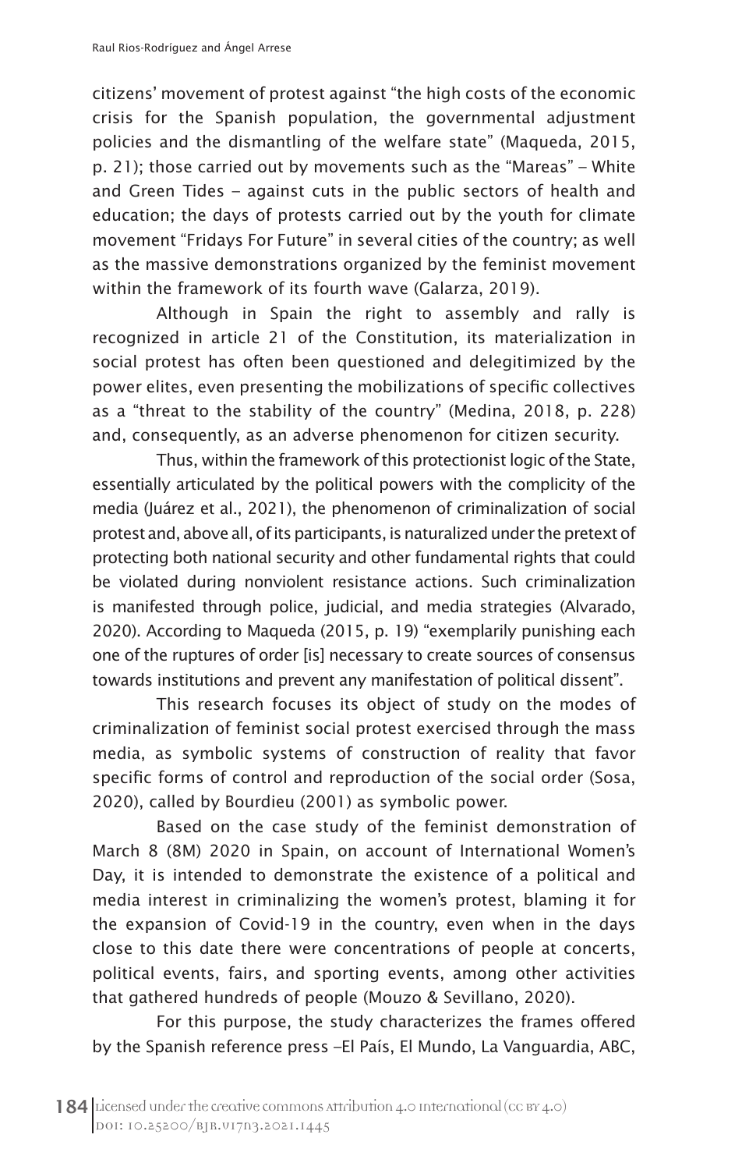citizens' movement of protest against "the high costs of the economic crisis for the Spanish population, the governmental adjustment policies and the dismantling of the welfare state" (Maqueda, 2015, p. 21); those carried out by movements such as the "Mareas" – White and Green Tides – against cuts in the public sectors of health and education; the days of protests carried out by the youth for climate movement "Fridays For Future" in several cities of the country; as well as the massive demonstrations organized by the feminist movement within the framework of its fourth wave (Galarza, 2019).

Although in Spain the right to assembly and rally is recognized in article 21 of the Constitution, its materialization in social protest has often been questioned and delegitimized by the power elites, even presenting the mobilizations of specific collectives as a "threat to the stability of the country" (Medina, 2018, p. 228) and, consequently, as an adverse phenomenon for citizen security.

Thus, within the framework of this protectionist logic of the State, essentially articulated by the political powers with the complicity of the media (Juárez et al., 2021), the phenomenon of criminalization of social protest and, above all, of its participants, is naturalized under the pretext of protecting both national security and other fundamental rights that could be violated during nonviolent resistance actions. Such criminalization is manifested through police, judicial, and media strategies (Alvarado, 2020). According to Maqueda (2015, p. 19) "exemplarily punishing each one of the ruptures of order [is] necessary to create sources of consensus towards institutions and prevent any manifestation of political dissent".

This research focuses its object of study on the modes of criminalization of feminist social protest exercised through the mass media, as symbolic systems of construction of reality that favor specific forms of control and reproduction of the social order (Sosa, 2020), called by Bourdieu (2001) as symbolic power.

Based on the case study of the feminist demonstration of March 8 (8M) 2020 in Spain, on account of International Women's Day, it is intended to demonstrate the existence of a political and media interest in criminalizing the women's protest, blaming it for the expansion of Covid-19 in the country, even when in the days close to this date there were concentrations of people at concerts, political events, fairs, and sporting events, among other activities that gathered hundreds of people (Mouzo & Sevillano, 2020).

For this purpose, the study characterizes the frames offered by the Spanish reference press –El País, El Mundo, La Vanguardia, ABC,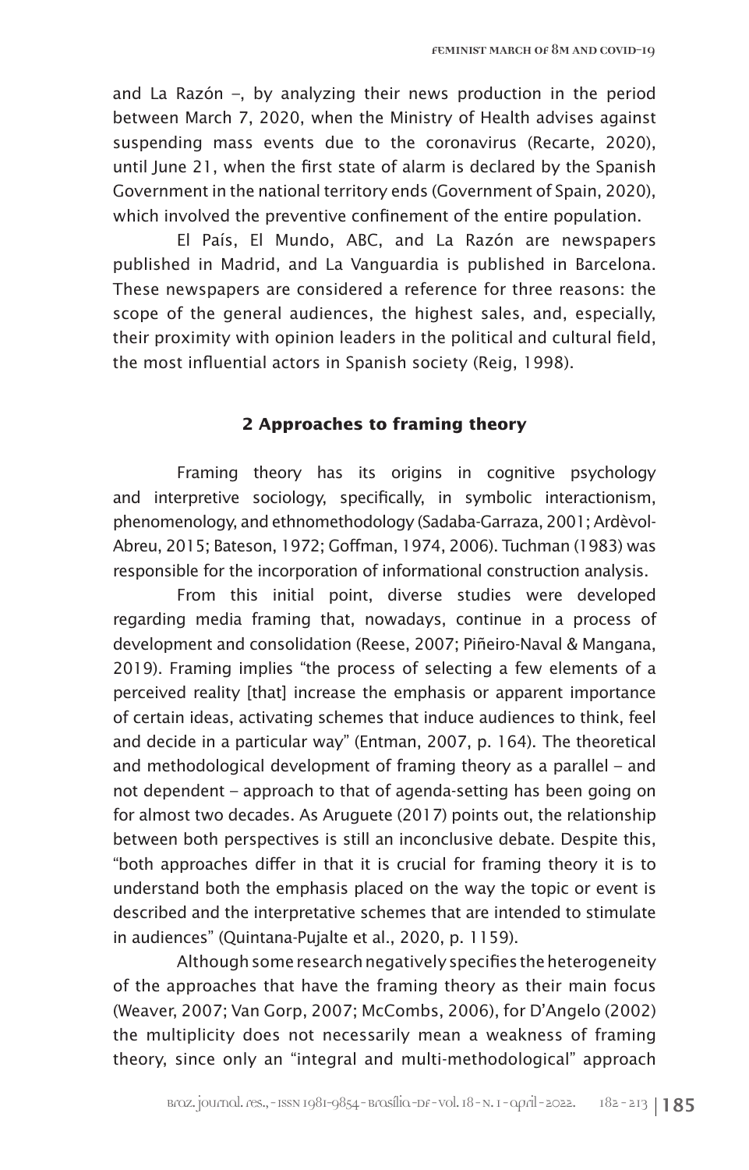and La Razón –, by analyzing their news production in the period between March 7, 2020, when the Ministry of Health advises against suspending mass events due to the coronavirus (Recarte, 2020), until June 21, when the first state of alarm is declared by the Spanish Government in the national territory ends (Government of Spain, 2020), which involved the preventive confinement of the entire population.

El País, El Mundo, ABC, and La Razón are newspapers published in Madrid, and La Vanguardia is published in Barcelona. These newspapers are considered a reference for three reasons: the scope of the general audiences, the highest sales, and, especially, their proximity with opinion leaders in the political and cultural field, the most influential actors in Spanish society (Reig, 1998).

# **2 Approaches to framing theory**

Framing theory has its origins in cognitive psychology and interpretive sociology, specifically, in symbolic interactionism, phenomenology, and ethnomethodology (Sadaba-Garraza, 2001; Ardèvol-Abreu, 2015; Bateson, 1972; Goffman, 1974, 2006). Tuchman (1983) was responsible for the incorporation of informational construction analysis.

From this initial point, diverse studies were developed regarding media framing that, nowadays, continue in a process of development and consolidation (Reese, 2007; Piñeiro-Naval & Mangana, 2019). Framing implies "the process of selecting a few elements of a perceived reality [that] increase the emphasis or apparent importance of certain ideas, activating schemes that induce audiences to think, feel and decide in a particular way" (Entman, 2007, p. 164). The theoretical and methodological development of framing theory as a parallel – and not dependent – approach to that of agenda-setting has been going on for almost two decades. As Aruguete (2017) points out, the relationship between both perspectives is still an inconclusive debate. Despite this, "both approaches differ in that it is crucial for framing theory it is to understand both the emphasis placed on the way the topic or event is described and the interpretative schemes that are intended to stimulate in audiences" (Quintana-Pujalte et al., 2020, p. 1159).

Although some research negatively specifies the heterogeneity of the approaches that have the framing theory as their main focus (Weaver, 2007; Van Gorp, 2007; McCombs, 2006), for D'Angelo (2002) the multiplicity does not necessarily mean a weakness of framing theory, since only an "integral and multi-methodological" approach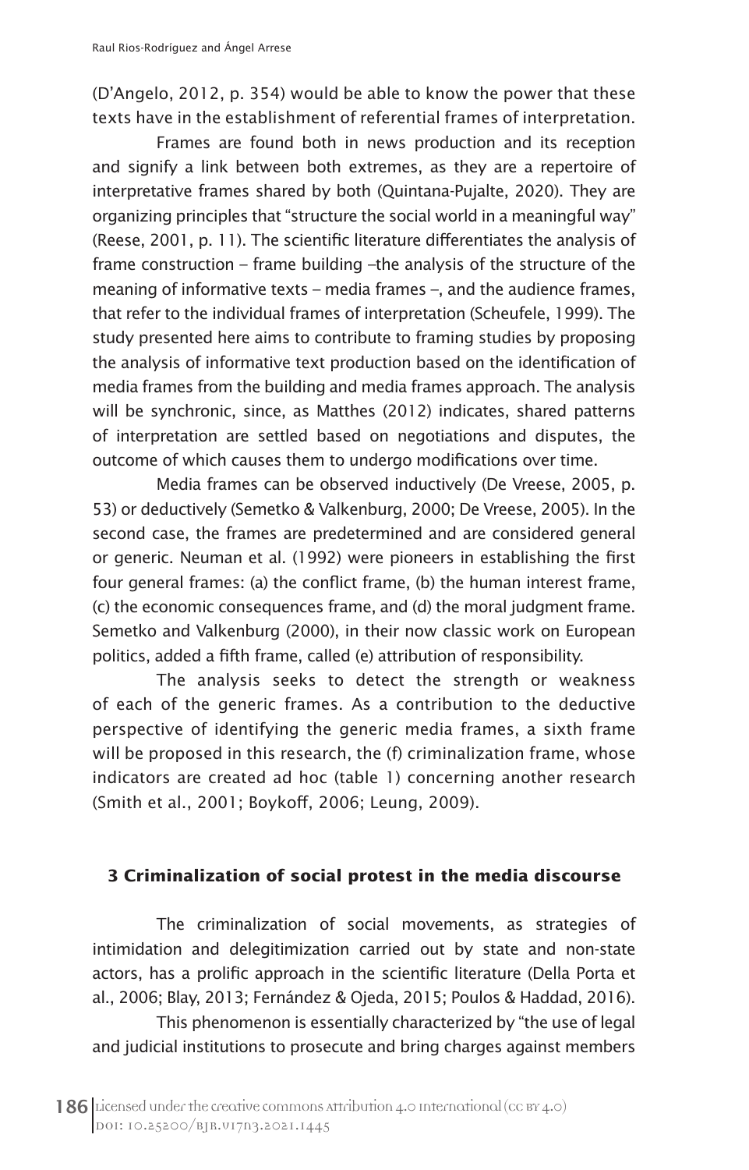(D'Angelo, 2012, p. 354) would be able to know the power that these texts have in the establishment of referential frames of interpretation.

Frames are found both in news production and its reception and signify a link between both extremes, as they are a repertoire of interpretative frames shared by both (Quintana-Pujalte, 2020). They are organizing principles that "structure the social world in a meaningful way" (Reese, 2001, p. 11). The scientific literature differentiates the analysis of frame construction – frame building –the analysis of the structure of the meaning of informative texts – media frames –, and the audience frames, that refer to the individual frames of interpretation (Scheufele, 1999). The study presented here aims to contribute to framing studies by proposing the analysis of informative text production based on the identification of media frames from the building and media frames approach. The analysis will be synchronic, since, as Matthes (2012) indicates, shared patterns of interpretation are settled based on negotiations and disputes, the outcome of which causes them to undergo modifications over time.

Media frames can be observed inductively (De Vreese, 2005, p. 53) or deductively (Semetko & Valkenburg, 2000; De Vreese, 2005). In the second case, the frames are predetermined and are considered general or generic. Neuman et al. (1992) were pioneers in establishing the first four general frames: (a) the conflict frame, (b) the human interest frame, (c) the economic consequences frame, and (d) the moral judgment frame. Semetko and Valkenburg (2000), in their now classic work on European politics, added a fifth frame, called (e) attribution of responsibility.

The analysis seeks to detect the strength or weakness of each of the generic frames. As a contribution to the deductive perspective of identifying the generic media frames, a sixth frame will be proposed in this research, the (f) criminalization frame, whose indicators are created ad hoc (table 1) concerning another research (Smith et al., 2001; Boykoff, 2006; Leung, 2009).

# **3 Criminalization of social protest in the media discourse**

The criminalization of social movements, as strategies of intimidation and delegitimization carried out by state and non-state actors, has a prolific approach in the scientific literature (Della Porta et al., 2006; Blay, 2013; Fernández & Ojeda, 2015; Poulos & Haddad, 2016).

This phenomenon is essentially characterized by "the use of legal and judicial institutions to prosecute and bring charges against members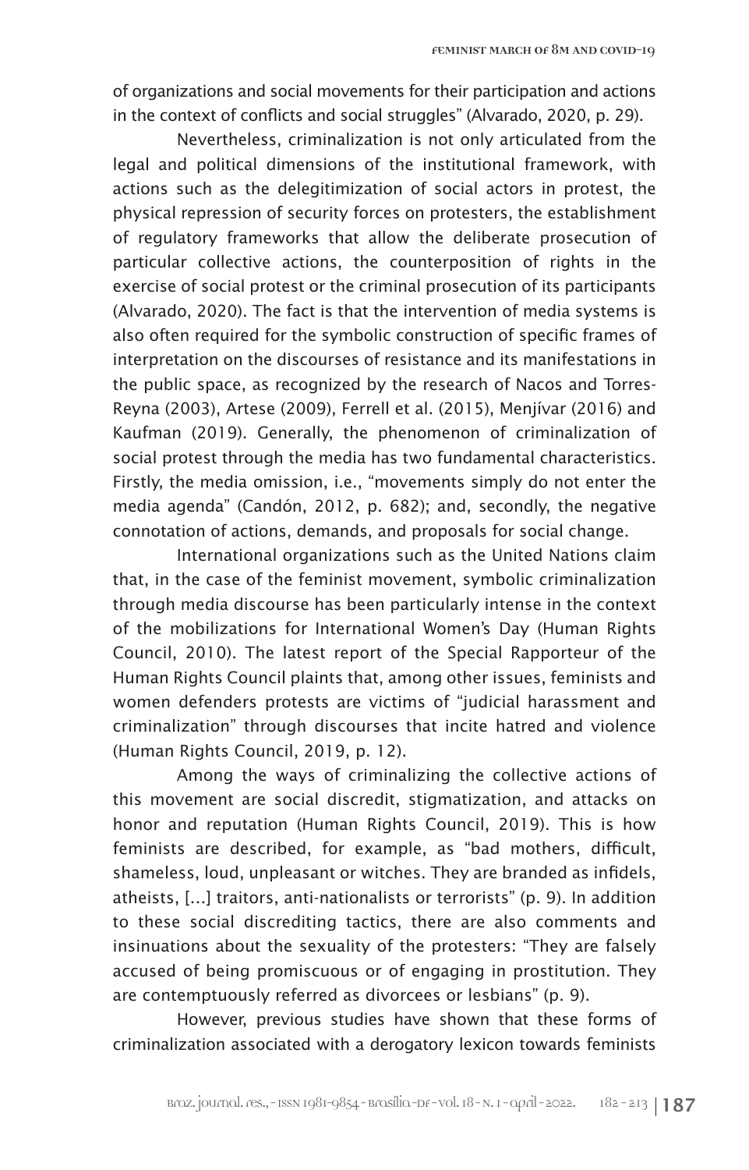of organizations and social movements for their participation and actions in the context of conflicts and social struggles" (Alvarado, 2020, p. 29).

Nevertheless, criminalization is not only articulated from the legal and political dimensions of the institutional framework, with actions such as the delegitimization of social actors in protest, the physical repression of security forces on protesters, the establishment of regulatory frameworks that allow the deliberate prosecution of particular collective actions, the counterposition of rights in the exercise of social protest or the criminal prosecution of its participants (Alvarado, 2020). The fact is that the intervention of media systems is also often required for the symbolic construction of specific frames of interpretation on the discourses of resistance and its manifestations in the public space, as recognized by the research of Nacos and Torres-Reyna (2003), Artese (2009), Ferrell et al. (2015), Menjívar (2016) and Kaufman (2019). Generally, the phenomenon of criminalization of social protest through the media has two fundamental characteristics. Firstly, the media omission, i.e., "movements simply do not enter the media agenda" (Candón, 2012, p. 682); and, secondly, the negative connotation of actions, demands, and proposals for social change.

International organizations such as the United Nations claim that, in the case of the feminist movement, symbolic criminalization through media discourse has been particularly intense in the context of the mobilizations for International Women's Day (Human Rights Council, 2010). The latest report of the Special Rapporteur of the Human Rights Council plaints that, among other issues, feminists and women defenders protests are victims of "judicial harassment and criminalization" through discourses that incite hatred and violence (Human Rights Council, 2019, p. 12).

Among the ways of criminalizing the collective actions of this movement are social discredit, stigmatization, and attacks on honor and reputation (Human Rights Council, 2019). This is how feminists are described, for example, as "bad mothers, difficult, shameless, loud, unpleasant or witches. They are branded as infidels, atheists, […] traitors, anti-nationalists or terrorists" (p. 9). In addition to these social discrediting tactics, there are also comments and insinuations about the sexuality of the protesters: "They are falsely accused of being promiscuous or of engaging in prostitution. They are contemptuously referred as divorcees or lesbians" (p. 9).

However, previous studies have shown that these forms of criminalization associated with a derogatory lexicon towards feminists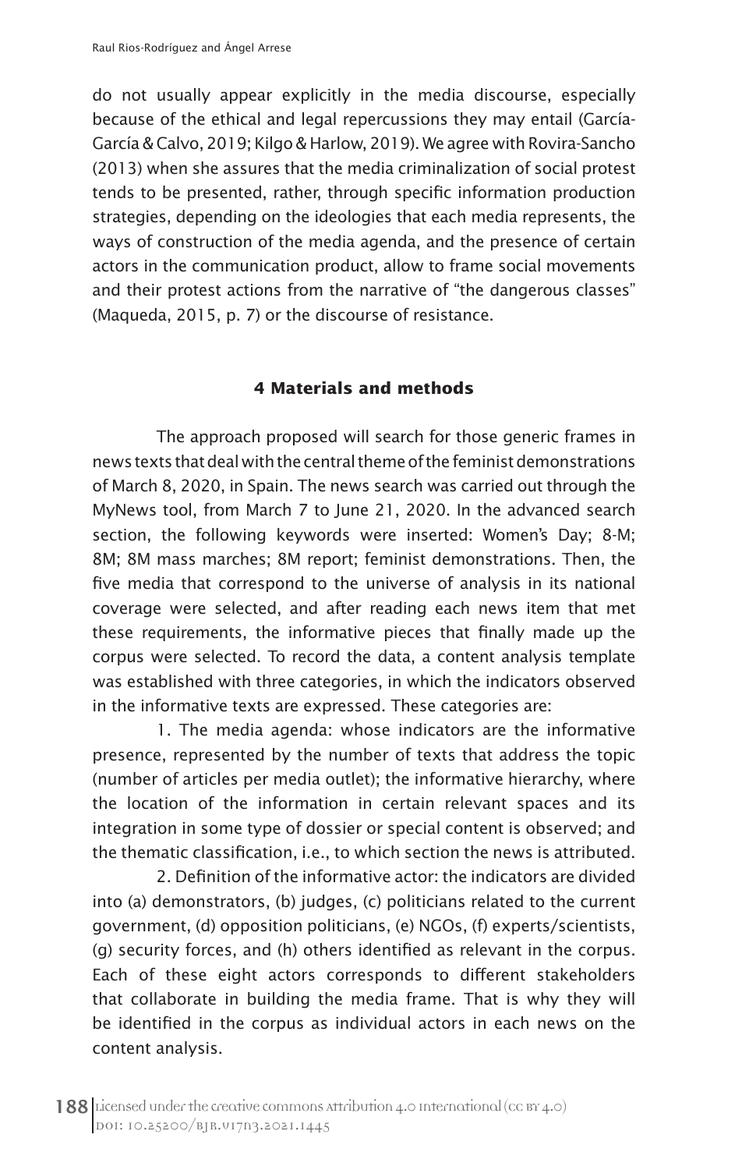do not usually appear explicitly in the media discourse, especially because of the ethical and legal repercussions they may entail (García-García & Calvo, 2019; Kilgo & Harlow, 2019). We agree with Rovira-Sancho (2013) when she assures that the media criminalization of social protest tends to be presented, rather, through specific information production strategies, depending on the ideologies that each media represents, the ways of construction of the media agenda, and the presence of certain actors in the communication product, allow to frame social movements and their protest actions from the narrative of "the dangerous classes" (Maqueda, 2015, p. 7) or the discourse of resistance.

# **4 Materials and methods**

The approach proposed will search for those generic frames in news texts that deal with the central theme of the feminist demonstrations of March 8, 2020, in Spain. The news search was carried out through the MyNews tool, from March 7 to June 21, 2020. In the advanced search section, the following keywords were inserted: Women's Day; 8-M; 8M; 8M mass marches; 8M report; feminist demonstrations. Then, the five media that correspond to the universe of analysis in its national coverage were selected, and after reading each news item that met these requirements, the informative pieces that finally made up the corpus were selected. To record the data, a content analysis template was established with three categories, in which the indicators observed in the informative texts are expressed. These categories are:

1. The media agenda: whose indicators are the informative presence, represented by the number of texts that address the topic (number of articles per media outlet); the informative hierarchy, where the location of the information in certain relevant spaces and its integration in some type of dossier or special content is observed; and the thematic classification, i.e., to which section the news is attributed.

2. Definition of the informative actor: the indicators are divided into (a) demonstrators, (b) judges, (c) politicians related to the current government, (d) opposition politicians, (e) NGOs, (f) experts/scientists, (g) security forces, and (h) others identified as relevant in the corpus. Each of these eight actors corresponds to different stakeholders that collaborate in building the media frame. That is why they will be identified in the corpus as individual actors in each news on the content analysis.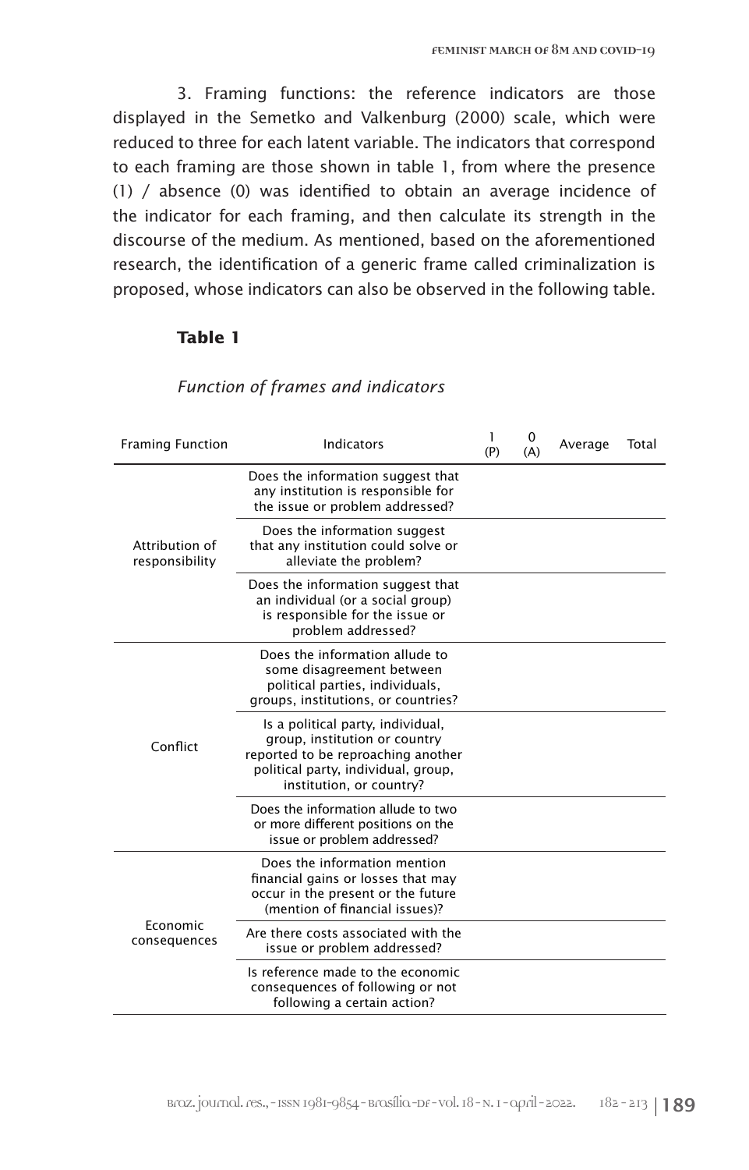3. Framing functions: the reference indicators are those displayed in the Semetko and Valkenburg (2000) scale, which were reduced to three for each latent variable. The indicators that correspond to each framing are those shown in table 1, from where the presence (1) / absence (0) was identified to obtain an average incidence of the indicator for each framing, and then calculate its strength in the discourse of the medium. As mentioned, based on the aforementioned research, the identification of a generic frame called criminalization is proposed, whose indicators can also be observed in the following table.

# **Table 1**

| <b>Framing Function</b>          | Indicators                                                                                                                                                                  | 1<br>(P) | 0<br>(A) | Average | Total |
|----------------------------------|-----------------------------------------------------------------------------------------------------------------------------------------------------------------------------|----------|----------|---------|-------|
| Attribution of<br>responsibility | Does the information suggest that<br>any institution is responsible for<br>the issue or problem addressed?                                                                  |          |          |         |       |
|                                  | Does the information suggest<br>that any institution could solve or<br>alleviate the problem?                                                                               |          |          |         |       |
|                                  | Does the information suggest that<br>an individual (or a social group)<br>is responsible for the issue or<br>problem addressed?                                             |          |          |         |       |
| Conflict                         | Does the information allude to<br>some disagreement between<br>political parties, individuals,<br>groups, institutions, or countries?                                       |          |          |         |       |
|                                  | Is a political party, individual,<br>group, institution or country<br>reported to be reproaching another<br>political party, individual, group,<br>institution, or country? |          |          |         |       |
|                                  | Does the information allude to two<br>or more different positions on the<br>issue or problem addressed?                                                                     |          |          |         |       |
| Economic<br>consequences         | Does the information mention<br>financial gains or losses that may<br>occur in the present or the future<br>(mention of financial issues)?                                  |          |          |         |       |
|                                  | Are there costs associated with the<br>issue or problem addressed?                                                                                                          |          |          |         |       |
|                                  | Is reference made to the economic<br>consequences of following or not<br>following a certain action?                                                                        |          |          |         |       |

# *Function of frames and indicators*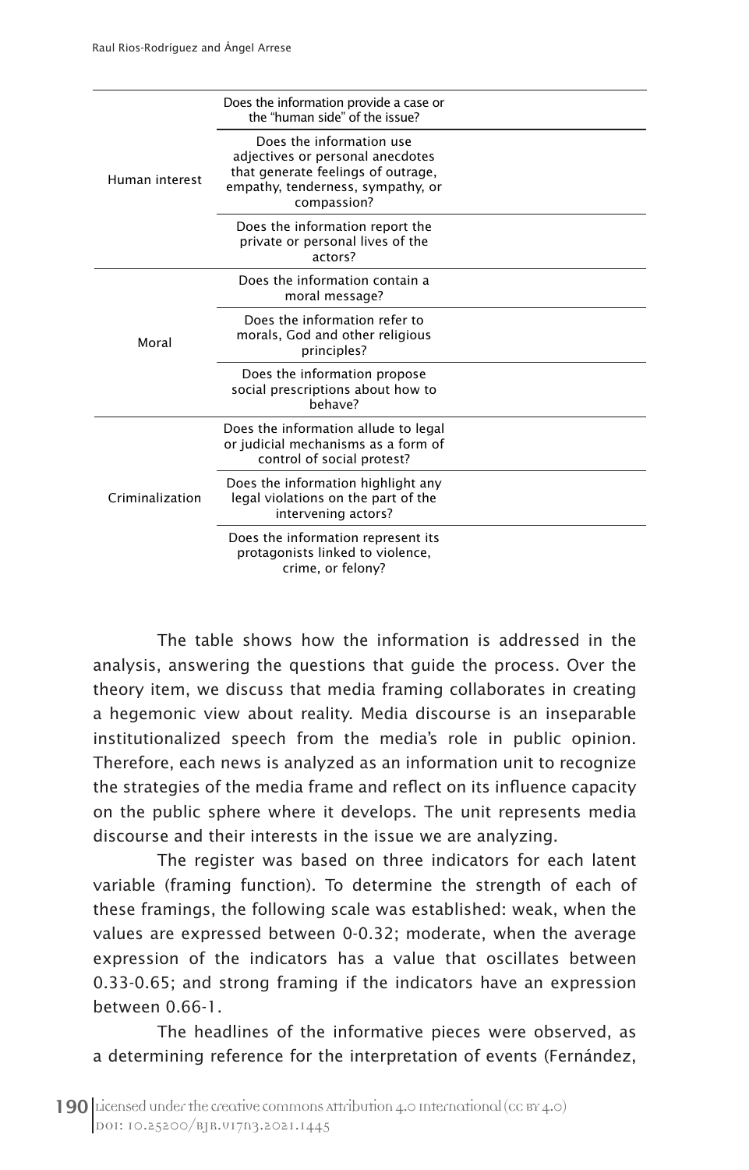| Human interest  | Does the information provide a case or<br>the "human side" of the issue?                                                                               |  |
|-----------------|--------------------------------------------------------------------------------------------------------------------------------------------------------|--|
|                 | Does the information use<br>adjectives or personal anecdotes<br>that generate feelings of outrage,<br>empathy, tenderness, sympathy, or<br>compassion? |  |
|                 | Does the information report the<br>private or personal lives of the<br>actors?                                                                         |  |
| Moral           | Does the information contain a<br>moral message?                                                                                                       |  |
|                 | Does the information refer to<br>morals, God and other religious<br>principles?                                                                        |  |
|                 | Does the information propose<br>social prescriptions about how to<br>behave?                                                                           |  |
| Criminalization | Does the information allude to legal<br>or judicial mechanisms as a form of<br>control of social protest?                                              |  |
|                 | Does the information highlight any<br>legal violations on the part of the<br>intervening actors?                                                       |  |
|                 | Does the information represent its<br>protagonists linked to violence,<br>crime, or felony?                                                            |  |

The table shows how the information is addressed in the analysis, answering the questions that guide the process. Over the theory item, we discuss that media framing collaborates in creating a hegemonic view about reality. Media discourse is an inseparable institutionalized speech from the media's role in public opinion. Therefore, each news is analyzed as an information unit to recognize the strategies of the media frame and reflect on its influence capacity on the public sphere where it develops. The unit represents media discourse and their interests in the issue we are analyzing.

The register was based on three indicators for each latent variable (framing function). To determine the strength of each of these framings, the following scale was established: weak, when the values are expressed between 0-0.32; moderate, when the average expression of the indicators has a value that oscillates between 0.33-0.65; and strong framing if the indicators have an expression between 0.66-1.

The headlines of the informative pieces were observed, as a determining reference for the interpretation of events (Fernández,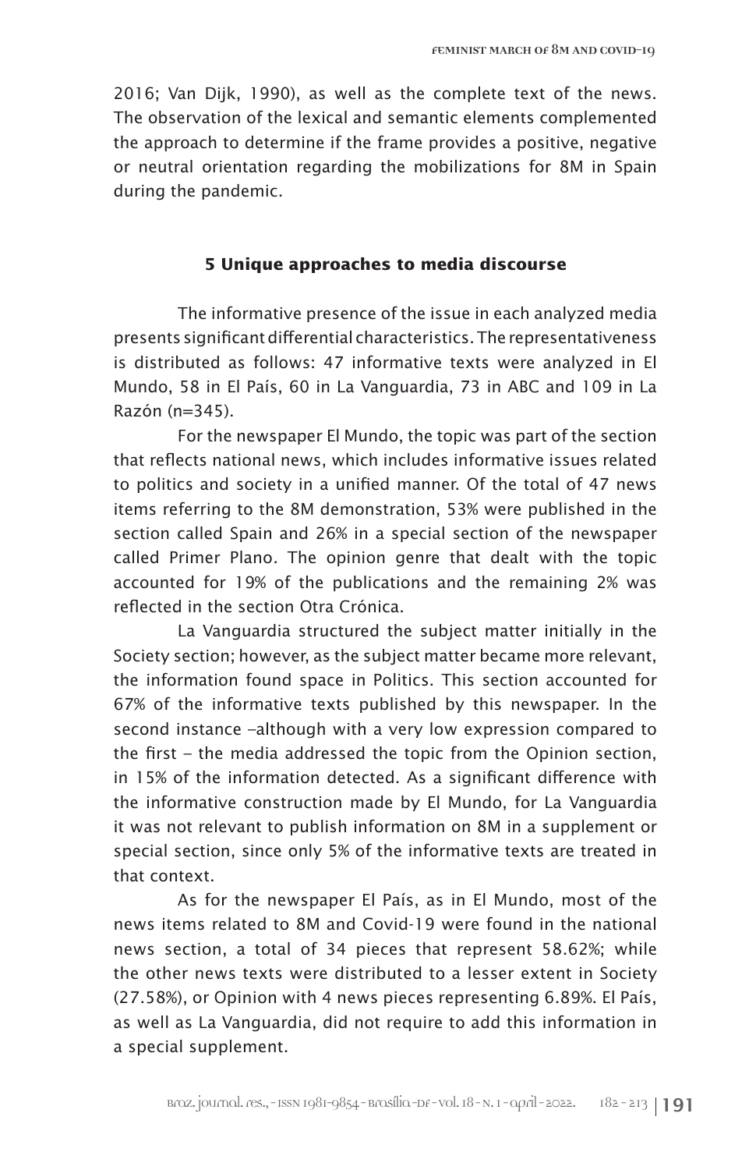2016; Van Dijk, 1990), as well as the complete text of the news. The observation of the lexical and semantic elements complemented the approach to determine if the frame provides a positive, negative or neutral orientation regarding the mobilizations for 8M in Spain during the pandemic.

# **5 Unique approaches to media discourse**

The informative presence of the issue in each analyzed media presents significant differential characteristics. The representativeness is distributed as follows: 47 informative texts were analyzed in El Mundo, 58 in El País, 60 in La Vanguardia, 73 in ABC and 109 in La Razón (n=345).

For the newspaper El Mundo, the topic was part of the section that reflects national news, which includes informative issues related to politics and society in a unified manner. Of the total of 47 news items referring to the 8M demonstration, 53% were published in the section called Spain and 26% in a special section of the newspaper called Primer Plano*.* The opinion genre that dealt with the topic accounted for 19% of the publications and the remaining 2% was reflected in the section Otra Crónica.

La Vanguardia structured the subject matter initially in the Society section; however, as the subject matter became more relevant, the information found space in Politics. This section accounted for 67% of the informative texts published by this newspaper. In the second instance –although with a very low expression compared to the first – the media addressed the topic from the Opinion section, in 15% of the information detected. As a significant difference with the informative construction made by El Mundo, for La Vanguardia it was not relevant to publish information on 8M in a supplement or special section, since only 5% of the informative texts are treated in that context.

As for the newspaper El País, as in El Mundo, most of the news items related to 8M and Covid-19 were found in the national news section, a total of 34 pieces that represent 58.62%; while the other news texts were distributed to a lesser extent in Society (27.58%), or Opinion with 4 news pieces representing 6.89%. El País, as well as La Vanguardia, did not require to add this information in a special supplement.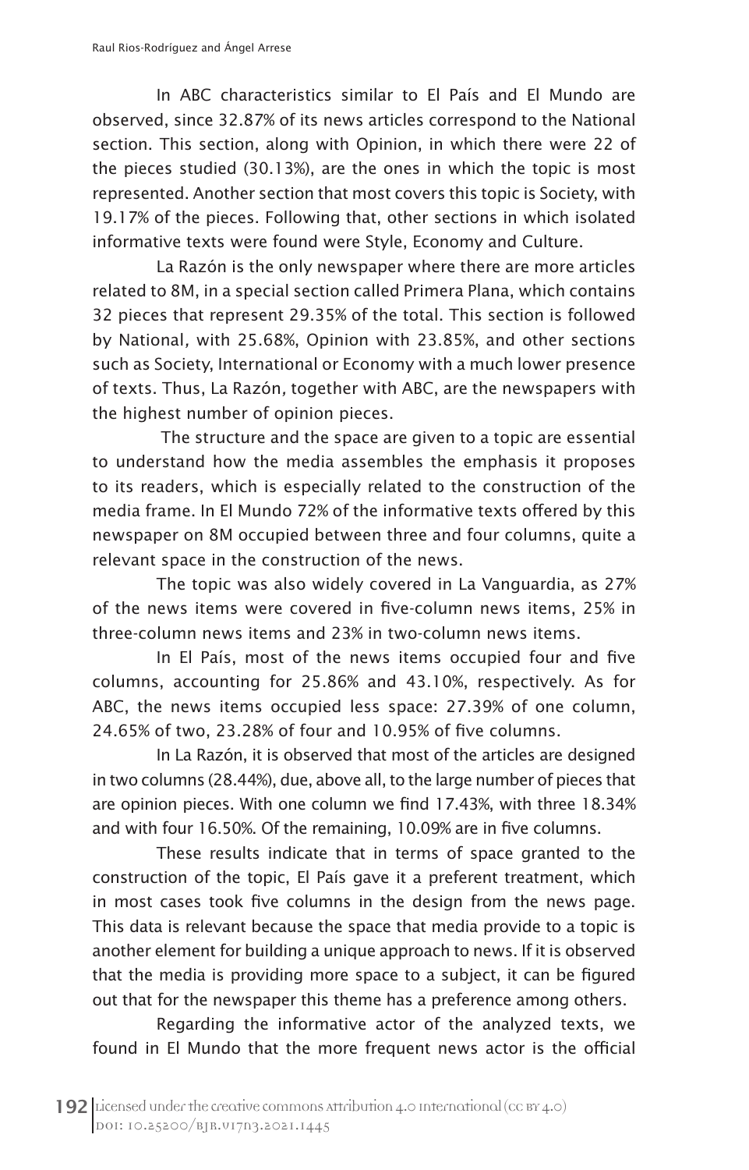In ABC characteristics similar to El País and El Mundo are observed, since 32.87% of its news articles correspond to the National section. This section, along with Opinion, in which there were 22 of the pieces studied (30.13%), are the ones in which the topic is most represented. Another section that most covers this topic is Society, with 19.17% of the pieces. Following that, other sections in which isolated informative texts were found were Style, Economy and Culture.

La Razón is the only newspaper where there are more articles related to 8M, in a special section called Primera Plana, which contains 32 pieces that represent 29.35% of the total. This section is followed by National*,* with 25.68%, Opinion with 23.85%, and other sections such as Society, International or Economy with a much lower presence of texts. Thus, La Razón*,* together with ABC, are the newspapers with the highest number of opinion pieces.

 The structure and the space are given to a topic are essential to understand how the media assembles the emphasis it proposes to its readers, which is especially related to the construction of the media frame. In El Mundo 72% of the informative texts offered by this newspaper on 8M occupied between three and four columns, quite a relevant space in the construction of the news.

The topic was also widely covered in La Vanguardia, as 27% of the news items were covered in five-column news items, 25% in three-column news items and 23% in two-column news items.

In El País, most of the news items occupied four and five columns, accounting for 25.86% and 43.10%, respectively. As for ABC, the news items occupied less space: 27.39% of one column, 24.65% of two, 23.28% of four and 10.95% of five columns.

In La Razón, it is observed that most of the articles are designed in two columns (28.44%), due, above all, to the large number of pieces that are opinion pieces. With one column we find 17.43%, with three 18.34% and with four 16.50%. Of the remaining, 10.09% are in five columns.

These results indicate that in terms of space granted to the construction of the topic, El País gave it a preferent treatment, which in most cases took five columns in the design from the news page. This data is relevant because the space that media provide to a topic is another element for building a unique approach to news. If it is observed that the media is providing more space to a subject, it can be figured out that for the newspaper this theme has a preference among others.

Regarding the informative actor of the analyzed texts, we found in El Mundo that the more frequent news actor is the official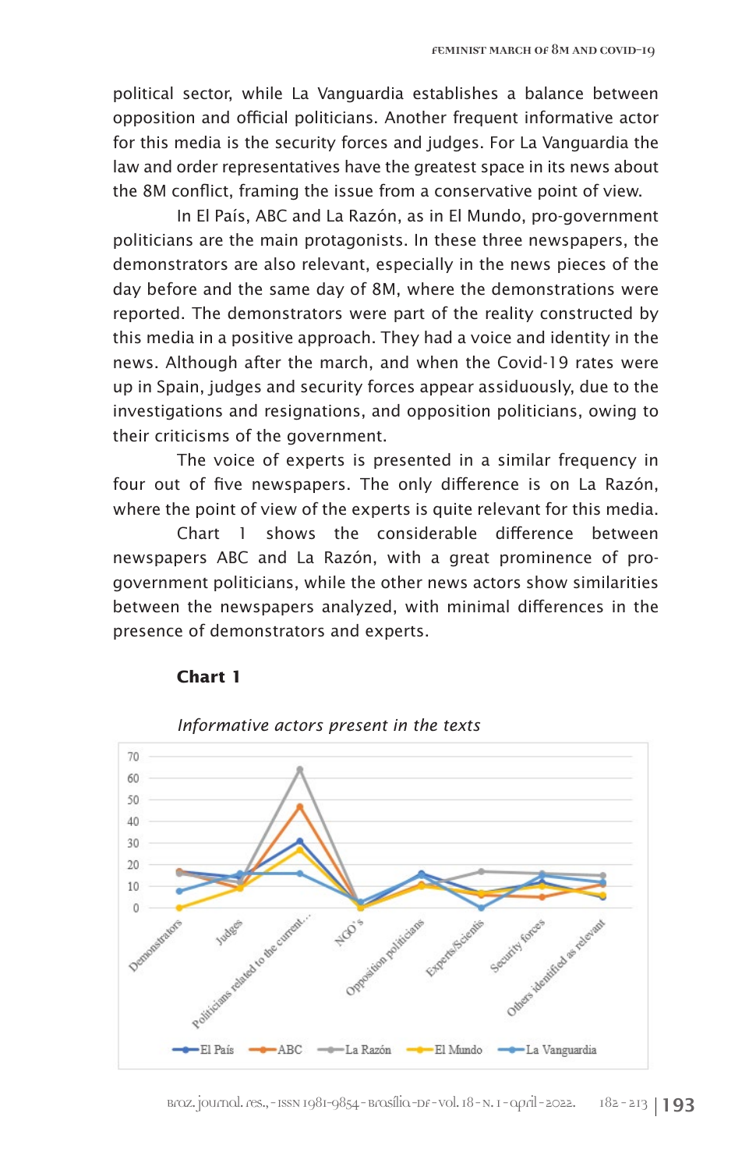political sector, while La Vanguardia establishes a balance between opposition and official politicians. Another frequent informative actor for this media is the security forces and judges. For La Vanguardia the law and order representatives have the greatest space in its news about the 8M conflict, framing the issue from a conservative point of view.

In El País, ABC and La Razón, as in El Mundo, pro-government politicians are the main protagonists. In these three newspapers, the demonstrators are also relevant, especially in the news pieces of the day before and the same day of 8M, where the demonstrations were reported. The demonstrators were part of the reality constructed by this media in a positive approach. They had a voice and identity in the news. Although after the march, and when the Covid-19 rates were up in Spain, judges and security forces appear assiduously, due to the investigations and resignations, and opposition politicians, owing to their criticisms of the government.

The voice of experts is presented in a similar frequency in four out of five newspapers. The only difference is on La Razón, where the point of view of the experts is quite relevant for this media.

Chart 1 shows the considerable difference between newspapers ABC and La Razón, with a great prominence of progovernment politicians, while the other news actors show similarities between the newspapers analyzed, with minimal differences in the presence of demonstrators and experts.



# **Chart 1**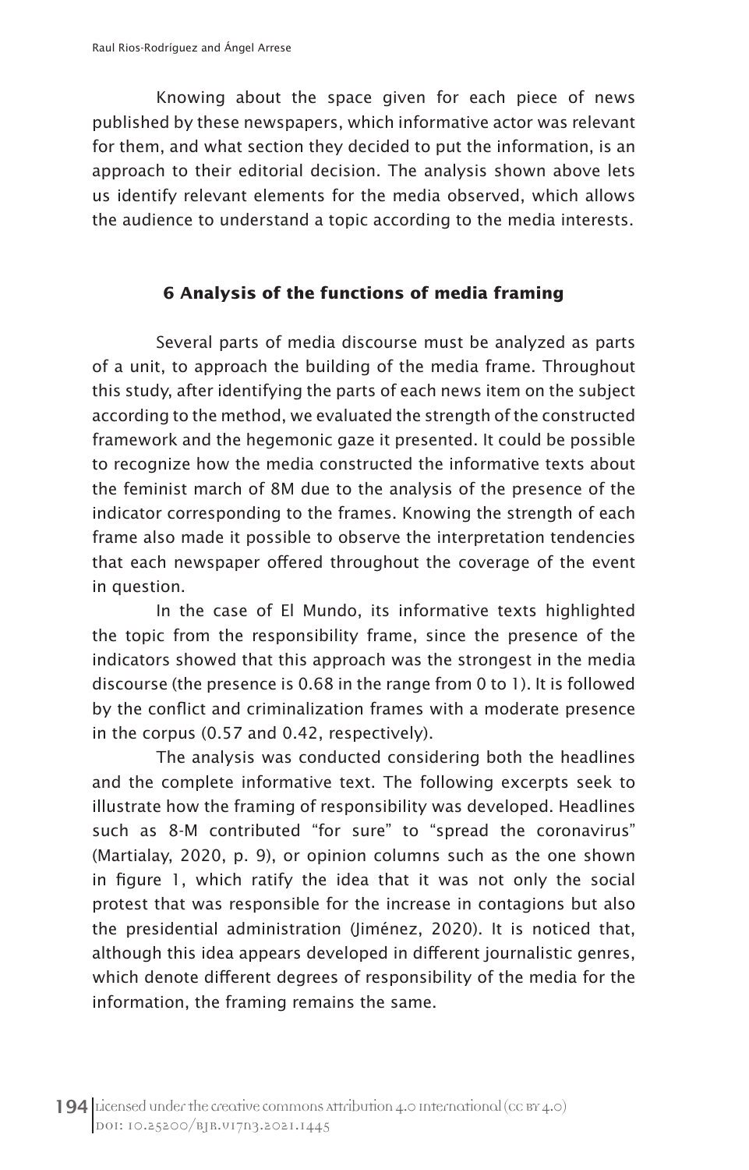Knowing about the space given for each piece of news published by these newspapers, which informative actor was relevant for them, and what section they decided to put the information, is an approach to their editorial decision. The analysis shown above lets us identify relevant elements for the media observed, which allows the audience to understand a topic according to the media interests.

# **6 Analysis of the functions of media framing**

Several parts of media discourse must be analyzed as parts of a unit, to approach the building of the media frame. Throughout this study, after identifying the parts of each news item on the subject according to the method, we evaluated the strength of the constructed framework and the hegemonic gaze it presented. It could be possible to recognize how the media constructed the informative texts about the feminist march of 8M due to the analysis of the presence of the indicator corresponding to the frames. Knowing the strength of each frame also made it possible to observe the interpretation tendencies that each newspaper offered throughout the coverage of the event in question.

In the case of El Mundo, its informative texts highlighted the topic from the responsibility frame, since the presence of the indicators showed that this approach was the strongest in the media discourse (the presence is 0.68 in the range from 0 to 1). It is followed by the conflict and criminalization frames with a moderate presence in the corpus (0.57 and 0.42, respectively).

The analysis was conducted considering both the headlines and the complete informative text. The following excerpts seek to illustrate how the framing of responsibility was developed. Headlines such as 8-M contributed "for sure" to "spread the coronavirus" (Martialay, 2020, p. 9), or opinion columns such as the one shown in figure 1, which ratify the idea that it was not only the social protest that was responsible for the increase in contagions but also the presidential administration (Jiménez, 2020). It is noticed that, although this idea appears developed in different journalistic genres, which denote different degrees of responsibility of the media for the information, the framing remains the same.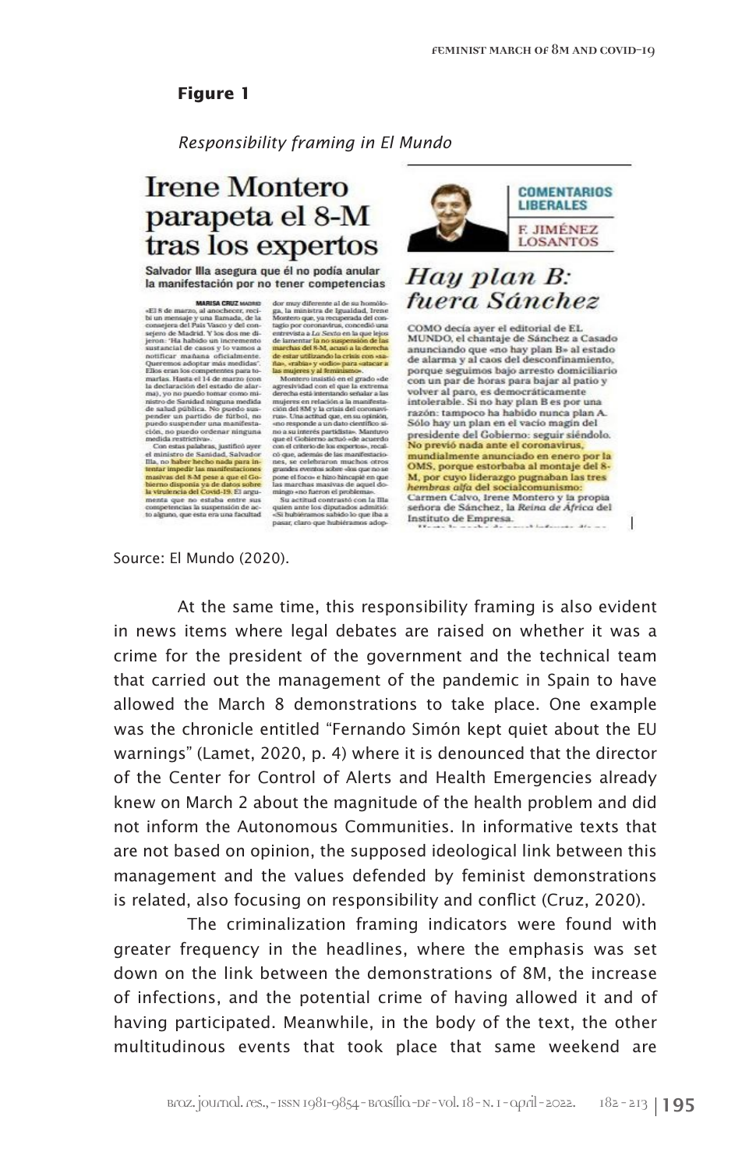*Responsibility framing in El Mundo*

# **Irene Montero** parapeta el 8-M tras los expertos

Salvador Illa asegura que él no podía anular la manifestación por no tener competencias

sejero de Madrid. Y los dos me di-<br>jeron: 'Ha habido un incremento<br>sustancial de casos y lo vamos a notificar mañana oficialmente. rottificar mañana oficialmente.<br>Teliso españa a contra de Santa Carlos españa a martas. Hanta el 14 de marzo (con martas. Hanta el 14 de marzo (con maj, yo no puedo tornar como minimizar de Santala anguna medida anguna me

Con estas palabras, justificó ayer el ministro de Sanidad, Salvador<br>Illa, no haber hecho nada para intentar impedir las manifestaciones emai ungenti assessiones anticipatibility and control the big density and control in the control of the state of the state competencies in suspension of the state of the state of the state of the state of the state of the

 $\begin{tabular}{ll} \bf{MARSA CRUZ WonsB} & \bf{Gov} may differentiate all de su homolo-\\ 15\,\,of a machine, and one-hocor, reci-\\ bi un meaningly un a harmonic, de la -Monzeso que, ya renyendad del com-  
consejera del Pais Vasso y del con-  
 tagio por coronasjera de la-\\ &\end{tabular}$ tagio por coronavirus, concedió una<br>entrevista a Lo Sexto en la que lejos<br>de lamentar la no suspensión de las de lamentar la no suspensión de las<br>marchas del 8-M, acusó a la derecha de estar utilizando la crisis con «sa-

grandes sventos sabre dos que no se o<br>propose de focos e hino hincapie en que las marchas masivas de aquel domingo «no fueron el problema».<br>Su actitud contractó con la Illa quien ante los dipatados admitió:<br>Su interior de



Sólo hay un plan en el vacio magin del presidente del Gobierno: seguir siéndolo.<br>No previó nada ante el coronavirus, mundialmente anunciado en enero por la OMS, porque estorbaba al montaje del 8-M, por cuyo liderazgo pugnaban las tres<br>hembras alfa del socialcomunismo: Carmen Calvo, Irene Montero y la propia<br>señora de Sánchez, la Reina de África del Instituto de Empresa.  $1.1.8...$ 

J

Source: El Mundo (2020).

At the same time, this responsibility framing is also evident in news items where legal debates are raised on whether it was a crime for the president of the government and the technical team that carried out the management of the pandemic in Spain to have allowed the March 8 demonstrations to take place. One example was the chronicle entitled "Fernando Simón kept quiet about the EU warnings" (Lamet, 2020, p. 4) where it is denounced that the director of the Center for Control of Alerts and Health Emergencies already knew on March 2 about the magnitude of the health problem and did not inform the Autonomous Communities. In informative texts that are not based on opinion, the supposed ideological link between this management and the values defended by feminist demonstrations is related, also focusing on responsibility and conflict (Cruz, 2020).

 The criminalization framing indicators were found with greater frequency in the headlines, where the emphasis was set down on the link between the demonstrations of 8M, the increase of infections, and the potential crime of having allowed it and of having participated. Meanwhile, in the body of the text, the other multitudinous events that took place that same weekend are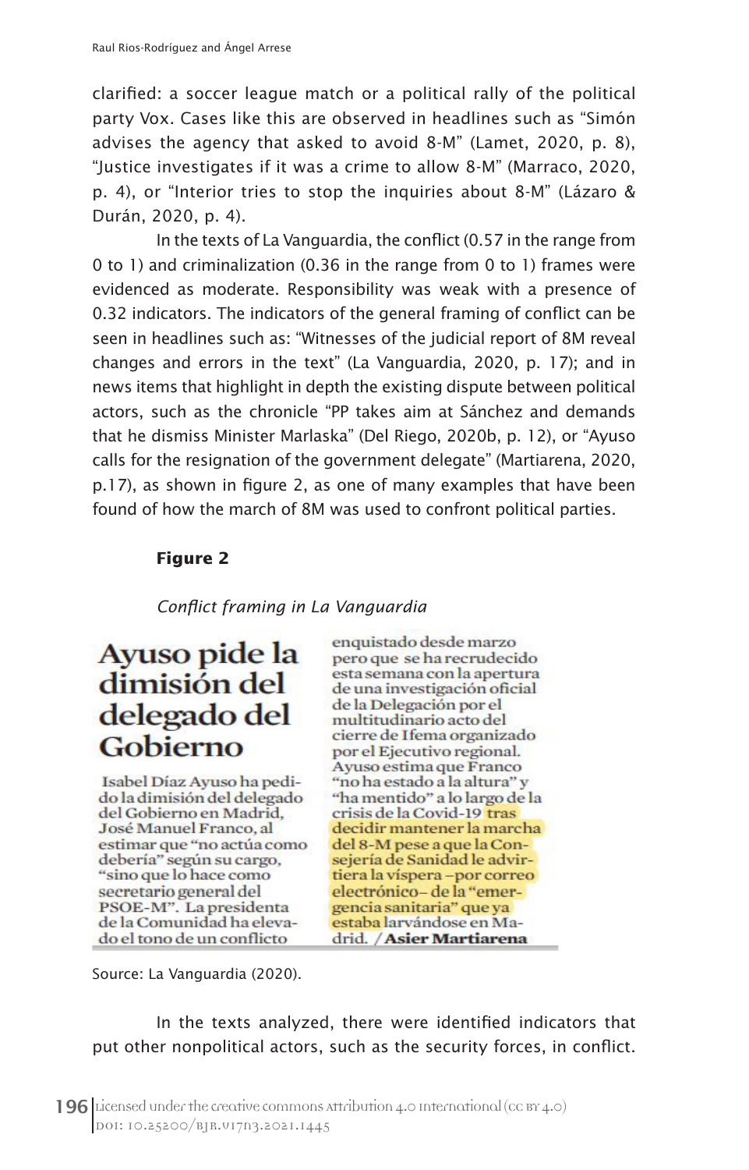clarified: a soccer league match or a political rally of the political party Vox. Cases like this are observed in headlines such as "Simón advises the agency that asked to avoid 8-M" (Lamet, 2020, p. 8), "Justice investigates if it was a crime to allow 8-M" (Marraco, 2020, p. 4), or "Interior tries to stop the inquiries about 8-M" (Lázaro & Durán, 2020, p. 4).

In the texts of La Vanguardia, the conflict (0.57 in the range from 0 to 1) and criminalization (0.36 in the range from 0 to 1) frames were evidenced as moderate. Responsibility was weak with a presence of 0.32 indicators. The indicators of the general framing of conflict can be seen in headlines such as: "Witnesses of the judicial report of 8M reveal changes and errors in the text" (La Vanguardia, 2020, p. 17); and in news items that highlight in depth the existing dispute between political actors, such as the chronicle "PP takes aim at Sánchez and demands that he dismiss Minister Marlaska" (Del Riego, 2020b, p. 12), or "Ayuso calls for the resignation of the government delegate" (Martiarena, 2020, p.17), as shown in figure 2, as one of many examples that have been found of how the march of 8M was used to confront political parties.

# **Figure 2**

# *Conflict framing in La Vanguardia*

# Avuso pide la dimisión del delegado del Gobierno

Isabel Díaz Ayuso ha pedido la dimisión del delegado del Gobierno en Madrid, José Manuel Franco, al estimar que "no actúa como debería" según su cargo, "sino que lo hace como secretario general del PSOE-M". La presidenta de la Comunidad ha elevado el tono de un conflicto

enquistado desde marzo pero que se ha recrudecido esta semana con la apertura de una investigación oficial de la Delegación por el multitudinario acto del cierre de Ifema organizado por el Ejecutivo regional. Ayuso estima que Franco "no ha estado a la altura" y "ha mentido" a lo largo de la crisis de la Covid-19 tras decidir mantener la marcha del 8-M pese a que la Consejería de Sanidad le advirtiera la víspera-por correo electrónico-de la "emergencia sanitaria" que ya estaba larvándose en Madrid. / Asier Martiarena

Source: La Vanguardia (2020).

In the texts analyzed, there were identified indicators that put other nonpolitical actors, such as the security forces, in conflict.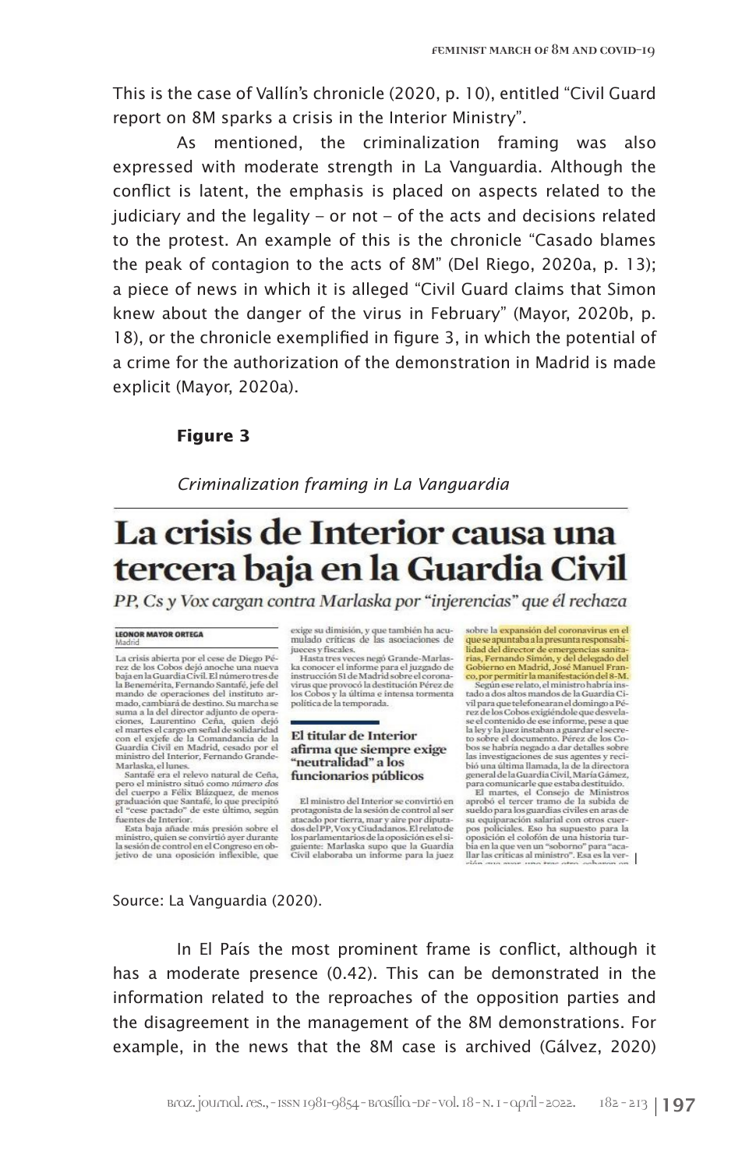This is the case of Vallín's chronicle (2020, p. 10), entitled "Civil Guard report on 8M sparks a crisis in the Interior Ministry".

As mentioned, the criminalization framing was also expressed with moderate strength in La Vanguardia. Although the conflict is latent, the emphasis is placed on aspects related to the judiciary and the legality – or not – of the acts and decisions related to the protest. An example of this is the chronicle "Casado blames the peak of contagion to the acts of 8M" (Del Riego, 2020a, p. 13); a piece of news in which it is alleged "Civil Guard claims that Simon knew about the danger of the virus in February" (Mayor, 2020b, p. 18), or the chronicle exemplified in figure 3, in which the potential of a crime for the authorization of the demonstration in Madrid is made explicit (Mayor, 2020a).

# **Figure 3**

*Criminalization framing in La Vanguardia*

# La crisis de Interior causa una tercera baja en la Guardia Civil

PP, Cs y Vox cargan contra Marlaska por "injerencias" que él rechaza

#### **LEONOR MAYOR ORTEGA** Madrid

La crisis abierta por el cese de Diego Pé-<br>rez de los Cobos dejó anoche una nueva<br>baja en la Guardia Civil. El número tres de la Benemérita. Fernando Santafé, jefe del mando de operaciones del instituto ar-<br>mado, cambiará de destino. Su marcha se mado, cambara de astrio.<br>Su marcanas<br>Suma a la del director adjunto de operaciones, Laurentino Ceña, quien dejó<br>el martes el cargo en señal de solidaridad<br>el non el exigle de la Comandancia de la<br>Guardin Civil en Madrid, c Marlaska, el lunes.

Mariasca, el nuesc<br>Santafé era el relevo natural de Ceña,<br>pero el ministro situó como *námero dos*<br>del cuerpo a Félix Blázquez, de menos<br>graduación que Santafé, lo que precipitó<br>el "cese pactado" de este último, según<br>fuen

tuentes de Internor.<br>Esta baja añade más presión sobre el<br>ministro, quien se convirtió ayer durante<br>la sesión de control en el Congreso en objetivo de una oposición inflexible, que

exige su dimisión, y que también ha acumulado críticas de las asociaciones de jueces y fiscales.

yacces y uscaues.<br>Hasta tres veces negó Grande-Marlas-<br>ka conocer el informe para el juzgado de<br>instrucción 51 de Madrid sobre el coronaissa accionaria del provocó la destitución Pérez de<br>los Cobos y la última e intensa tormenta<br>política de la temporada.

#### El titular de Interior afirma que siempre exige "neutralidad" a los funcionarios públicos

El ministro del Interior se convirtió en El ministro del Interior se convirtio en<br>protagonista de la sesión de control al ser<br>atecado por tierra, mar y aire por diputa-<br>dos del PP, Vox y Ciudadanos. El relato de<br>los parlamentarios de la oposición es els<br>guiente:

sobre la expansión del coronavirus en el<br>que se apuntaba a la presunta responsabique se apuntaba a in presunta responsabilidad<br>del director de emergencias santa-<br>rias, Fernando Simón, y del delegado del<br>Gobierno en Madrid, José Manuel Franco, por permitir la manifestación del 8-M.

co, por permitar a mainistro habría instado a dos altos mandos de la Guardia Ci-<br>tado a dos altos mandos de la Guardia Ci-<br>vil para que telefonearan el domingo a Pévia para que desenveramentamentos<br>rez de los Cobos exigiéndole que desvela-<br>se el contenido de ese informe, pese a que<br>la ley y la juez instaban a guardar el secre-<br>to sobre el documento. Pérez de los Coto soore et used and an detailes sobre<br>las investigaciones de sus agentes y reci-<br>bió una última llamada, la de la directora

bió una última llamada, la de la directora<br> general dela Guardía Civil, María Gámez, para comunicarle que estaba destituido.<br>El martes, el Consejo de Ministros aprobó el tercer tramo de la subida de<br> sue suel do para los

### Source: La Vanguardia (2020).

In El País the most prominent frame is conflict, although it has a moderate presence (0.42). This can be demonstrated in the information related to the reproaches of the opposition parties and the disagreement in the management of the 8M demonstrations. For example, in the news that the 8M case is archived (Gálvez, 2020)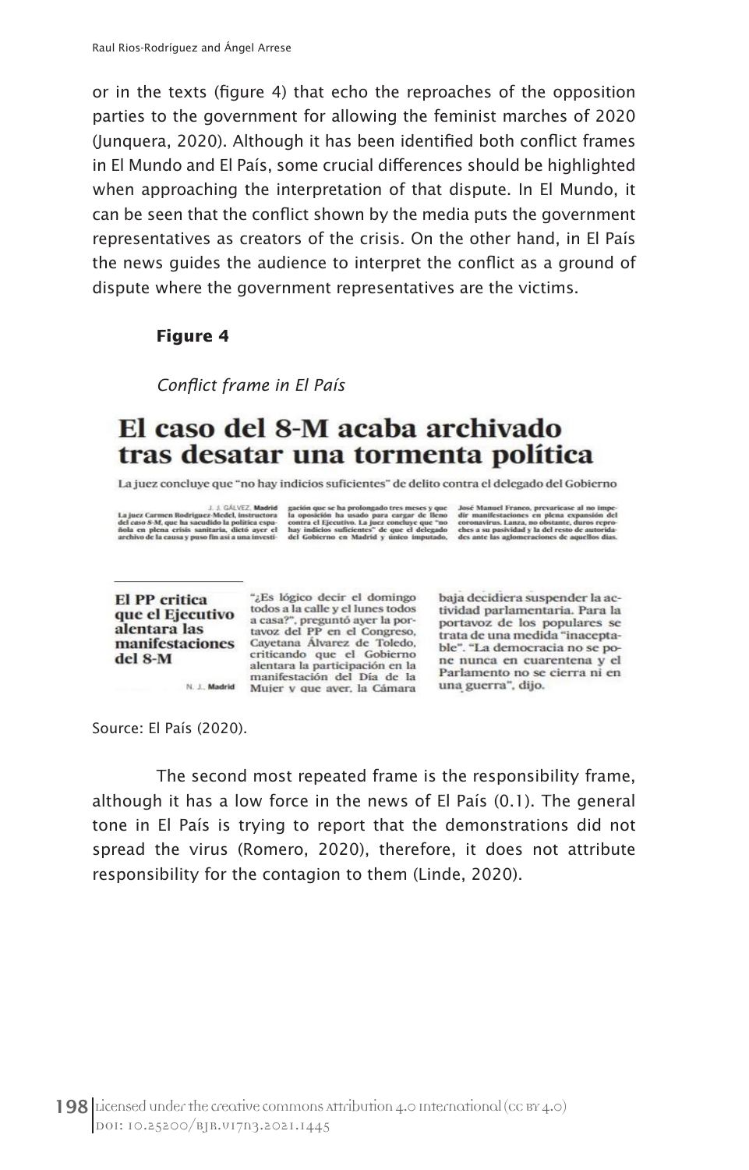or in the texts (figure 4) that echo the reproaches of the opposition parties to the government for allowing the feminist marches of 2020 (Junquera, 2020). Although it has been identified both conflict frames in El Mundo and El País, some crucial differences should be highlighted when approaching the interpretation of that dispute. In El Mundo, it can be seen that the conflict shown by the media puts the government representatives as creators of the crisis. On the other hand, in El País the news guides the audience to interpret the conflict as a ground of dispute where the government representatives are the victims.

# **Figure 4**

*Conflict frame in El País*

# El caso del 8-M acaba archivado tras desatar una tormenta política

La juez concluye que "no hay indicios suficientes" de delito contra el delegado del Gobierno

La juez Carmer<br>del caso S-M, qu<br>fiola en plena<br>archivo de la ca

L. J. GAUVEZ. Madrid gación que se ha prolongado tres meses y que José Manuel Franco, prevariease al no imposso S-M, que ha sacudido la política espa-<br>caso S-M, que ha sacudido la política espa-constra el 1 poez el la puez

e al no impe-<br>:xpansión del

**El PP** critica alentara las del 8-M

"¿Es lógico decir el domingo El PP critica<br>que el Ejecutivo todos a la calle y el lunes todos<br>a casa?", preguntó ayer la pora casa?", preguntó ayer la portavoz del PP en el Congreso, manifestaciones Cayetana Álvarez de Toledo, criticando que el Gobierno alentara la participación en la<br>manifestación del Día de la N. J. Madrid Mujer y que aver, la Cámara

baia decidiera suspender la actividad parlamentaria. Para la portavoz de los populares se trata de una medida "inaceptable". "La democracia no se pone nunca en cuarentena y el Parlamento no se cierra ni en una guerra", dijo.

Source: El País (2020).

The second most repeated frame is the responsibility frame, although it has a low force in the news of El País (0.1). The general tone in El País is trying to report that the demonstrations did not spread the virus (Romero, 2020), therefore, it does not attribute responsibility for the contagion to them (Linde, 2020).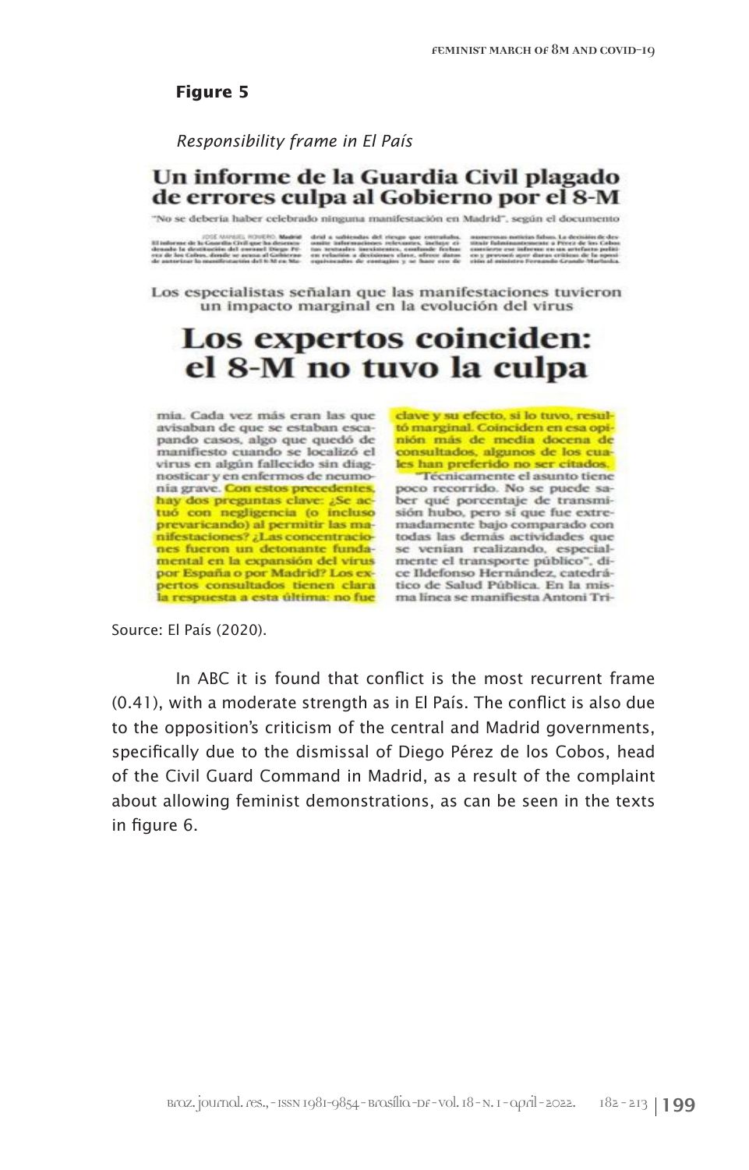### *Responsibility frame in El País*

# Un informe de la Guardia Civil plagado de errores culpa al Gobierno por el 8-M

"No se debería haber celebrado ninguna manifestación en Madrid", según el documento

Los especialistas señalan que las manifestaciones tuvieron un impacto marginal en la evolución del virus

# Los expertos coinciden: el 8-M no tuvo la culpa

mia. Cada vez más eran las que avisaban de que se estaban escapando casos, algo que quedó de manifiesto cuando se localizó el virus en algún fallecido sin diagnosticar y en enfermos de neumonía grave. Con estos precedentes, hay dos preguntas clave: ¿Se actuó con negligencia (o incluso prevaricando) al permitir las manifestaciones? ¿Las concentraciones fueron un detonante fundamental en la expansión del virus por España o por Madrid? Los expertos consultados tienen clara

clave y su efecto, si lo tuvo, resultó marginal. Coinciden en esa opinión más de media docena de consultados, algunos de los cuales han preferido no ser citados.

Técnicamente el asunto tiene poco recorrido. No se puede saber qué porcentaje de transmisión hubo, pero sí que fue extremadamente bajo comparado con todas las demás actividades que se venian realizando, especialmente el transporte público", dice Ildefonso Hernández, catedrático de Salud Pública. En la misla respuesta a esta última: no fue ma línea se manifiesta Antoni Tri-

Source: El País (2020).

In ABC it is found that conflict is the most recurrent frame (0.41), with a moderate strength as in El País. The conflict is also due to the opposition's criticism of the central and Madrid governments, specifically due to the dismissal of Diego Pérez de los Cobos, head of the Civil Guard Command in Madrid, as a result of the complaint about allowing feminist demonstrations, as can be seen in the texts in figure 6.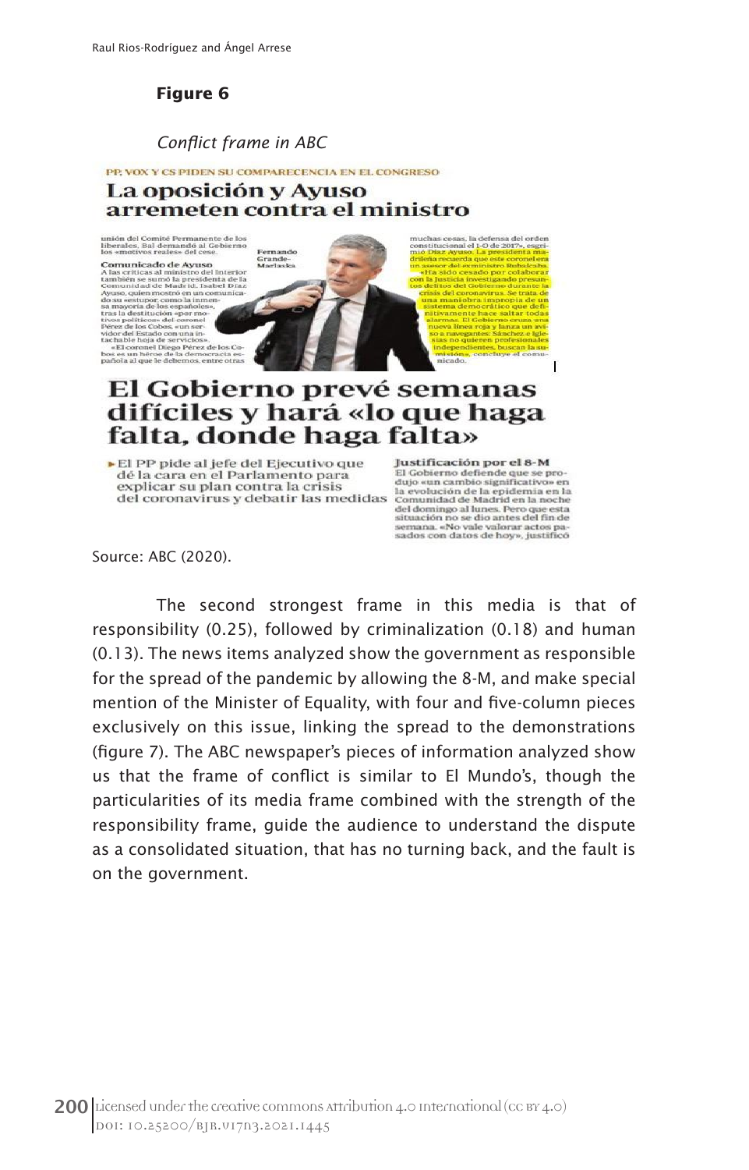### *Conflict frame in ABC*

PP, VOX Y CS PIDEN SU COMPARECENCIA EN EL CONGRESO La oposición y Ayuso arremeten contra el ministro

is, la defensa del c<br>al el 1-O de 2017», o<br>uso, la presidente té Permanente de<br>emandó al Gobier<br>sles» del cese. erna **Comunicado de Ayuso**<br>A las críticas al ministro del Int Grande-<br>Marlaska is críticas al ministro del Interior<br>ibién se sumó la presidenta de la<br>nunidad de Madrid, Isabel Díaz iuniciau de<br>so, quien mo<br>u «estupor, c stró en un co<br>omo la inmer estupor.<br>oria de l a mayorna de ros espan<br>vos políticos» del coro<br>érez de los Cobos, «un s<br>idor del Estado con una<br>ichable hoja de servici<br>«El coronel Dieso Pé i mayoria de<br>as la destitui<br>vos políticos<br>érez de los Co e noja de s<br>oronel Die;<br>n héroe de<br>il que le de a de servicios».<br>:l Diego Pérez de l<br>:oe de la democra es un l<br>ola al c

# El Gobierno prevé semanas difíciles y hará «lo que haga falta, donde haga falta»

El PP pide al jefe del Ejecutivo que dé la cara en el Parlamento para explicar su plan contra la crisis del coronavirus y debatir las medidas

Justificación por el 8-M El Gobierno defiende que se pro dujo «un cambio significativo» en<br>la evolución de la epidemia en la Comunidad de Madrid en la noche del domingo al lunes. Pero que esta<br>situación no se dio antes del fin de<br>semana. «No vale valorar actos pasados con datos de hoy», justificó

 $\overline{1}$ 

Source: ABC (2020).

The second strongest frame in this media is that of responsibility (0.25), followed by criminalization (0.18) and human (0.13). The news items analyzed show the government as responsible for the spread of the pandemic by allowing the 8-M, and make special mention of the Minister of Equality, with four and five-column pieces exclusively on this issue, linking the spread to the demonstrations (figure 7). The ABC newspaper's pieces of information analyzed show us that the frame of conflict is similar to El Mundo's, though the particularities of its media frame combined with the strength of the responsibility frame, guide the audience to understand the dispute as a consolidated situation, that has no turning back, and the fault is on the government.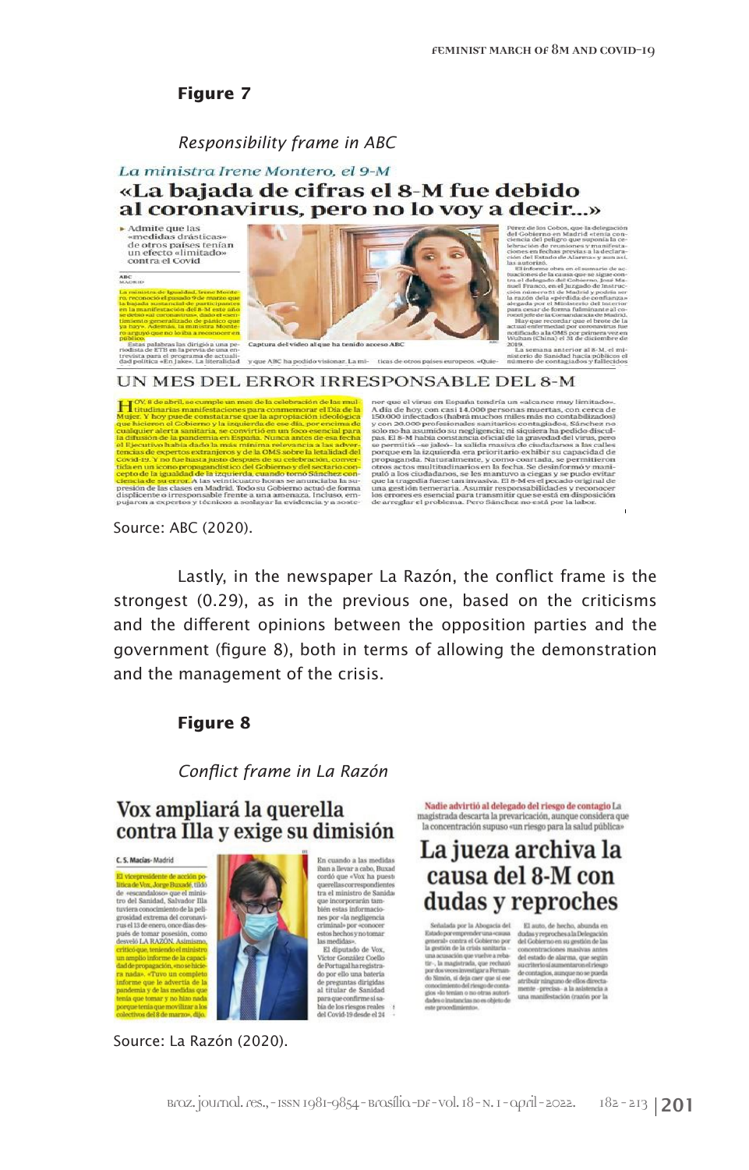### *Responsibility frame in ABC*

# La ministra Irene Montero, el 9-M «La bajada de cifras el 8-M fue debido al coronavirus, pero no lo voy a decir...»

 $\blacktriangleright$  Admite que las Admite que las<br>«medidas drásticas»<br>de otros países tenían<br>un efecto «limitado»<br>contra el Covid





nes en fe<br>n del Est about on all some

publico,<br>Estas palabras las dirigió a una periodísta de ETB en la previa de una entrevista para el programa de actuali-<br>trevista para el programa de actuali-<br>dad nolítica «En labe». La literalidad

#### y cue ABC ha podido visionar 1 a mi- ticas de otros país

semana anterior al 8-M, el s

ner que el virus en España tendría un «alcance muy limitado». A día de hoy, con casi 14.000 personas muertas, con cerca de 150.000 infectados (habrá muchos miles más no contabilizados) y con 20.000 profesionales santitari  $\begin{tabular}{l|c|c|c} \hline \multicolumn{1}{l}{\textbf{[OVA6deh1a]}} \hline \multicolumn{1}{l}{\textbf{[OVA6deh1a]}} \hline \multicolumn{1}{l}{\textbf{[OVA6deh1a]}} \hline \multicolumn{1}{l}{\textbf{[O/A6deh1a]}} \hline \multicolumn{1}{l}{\textbf{[O/A6deh1a]}} \hline \multicolumn{1}{l}{\textbf{[O/A6deh1a]}} \hline \multicolumn{1}{l}{\textbf{[O/A6deh1a]}} \hline \multicolumn{1}{l}{\textbf{[O/A6deh1a$ Coval-19. Y no tue nasta justo despues de su celebración, convertidades del Colemburgo de la caracción de la caracción de la caracción de la caracción de la caracción de la caracción de la caracción de la caracción de la c

UN MES DEL ERROR IRRESPONSABLE DEL 8-M

Source: ABC (2020).

Lastly, in the newspaper La Razón, the conflict frame is the strongest (0.29), as in the previous one, based on the criticisms and the different opinions between the opposition parties and the government (figure 8), both in terms of allowing the demonstration and the management of the crisis.

# **Figure 8**

*Conflict frame in La Razón*

# Vox ampliará la querella contra Illa y exige su dimisión

C. S. Macias-Madrid

El vicenresidente de acción cade Vox. Jorge Buxadé, tildó **Ittica de Vox, Jorge Buxade,** tildo<br>de «escandaloso» que el ministro del Sanidad, Salvador Illa<br>tuviera conocimiento de la pelígrosidad extrema del coronavi-<br>rus el 13 de enero, once días después de tomar posesión, como<br>desveló LA RAZÓN, Asimismo, tó que, teniendo el ministro in amplio informe de la capac adde propagación, «no se hici<br>a nada», «Tuvo un comple<br>nforme que le advertía de que tomar y no hizo n tenía que movilizar a los



Source: La Razón (2020).

La jueza archiva la En cuando a las medidas<br>cordó que «Vox ha puesti<br>cordó que «Vox ha puesti<br>querellas correspondientes<br>tra el ministro de Sanida;<br>bién estas informacio-<br>bién estas informacio-<br>nes nor «la neclicencia causa del 8-M con dudas y reproches

nes por «la negligencia

criminal» por «conocer estos hechos y no tomar

est anputado de vox.<br>Vector González Coello<br>de Portugal ha registra-<br>do por ello una batería<br>al titular de Sanidad<br>al titular de Sanidad

para que confirme si sa-

 ${\rm bia}\;{\rm de}\;{\rm los}\;{\rm riesgos}\;{\rm reales}\quad \ \, \uparrow\;$ del Covid-19 desde el 24

las medidas» El diputado de Vox,

Serbaladía por la Abogacia del  $$\sf II$$ atuto, de hecho, abunda en guardia conducto entre estama de dados representendo en guardia conducto de la primeira conducto de la primeira conducto por de la conducto por de la primeir alada por la Abogacia del El auto, de hecho,

Nadie advirtió al delegado del riesgo de contagio La magistrada descarta la prevaricación, aunque consi-

la concentración supuso «un riesgo para la salud pública»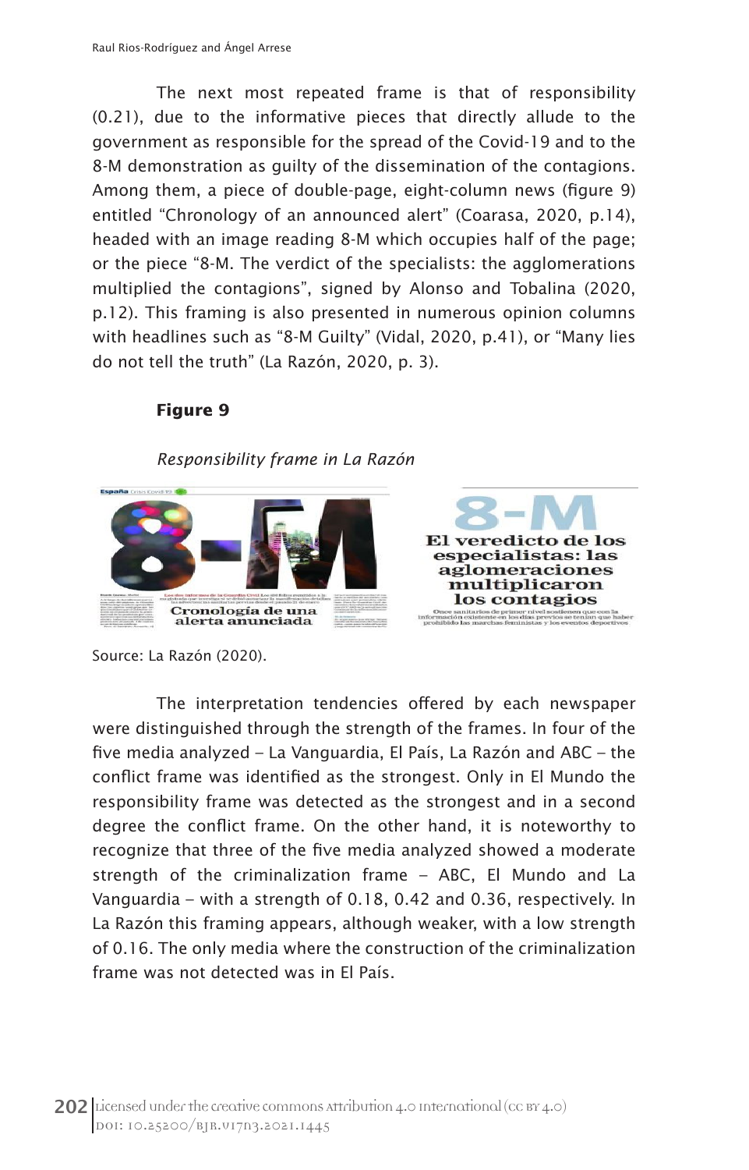The next most repeated frame is that of responsibility (0.21), due to the informative pieces that directly allude to the government as responsible for the spread of the Covid-19 and to the 8-M demonstration as guilty of the dissemination of the contagions. Among them, a piece of double-page, eight-column news (figure 9) entitled "Chronology of an announced alert" (Coarasa, 2020, p.14), headed with an image reading 8-M which occupies half of the page; or the piece "8-M. The verdict of the specialists: the agglomerations multiplied the contagions", signed by Alonso and Tobalina (2020, p.12). This framing is also presented in numerous opinion columns with headlines such as "8-M Guilty" (Vidal, 2020, p.41), or "Many lies do not tell the truth" (La Razón, 2020, p. 3).

# **Figure 9**

*Responsibility frame in La Razón*



Source: La Razón (2020).

The interpretation tendencies offered by each newspaper were distinguished through the strength of the frames. In four of the five media analyzed – La Vanguardia, El País, La Razón and ABC – the conflict frame was identified as the strongest. Only in El Mundo the responsibility frame was detected as the strongest and in a second degree the conflict frame. On the other hand, it is noteworthy to recognize that three of the five media analyzed showed a moderate strength of the criminalization frame – ABC, El Mundo and La Vanguardia – with a strength of 0.18, 0.42 and 0.36, respectively. In La Razón this framing appears, although weaker, with a low strength of 0.16. The only media where the construction of the criminalization frame was not detected was in El País.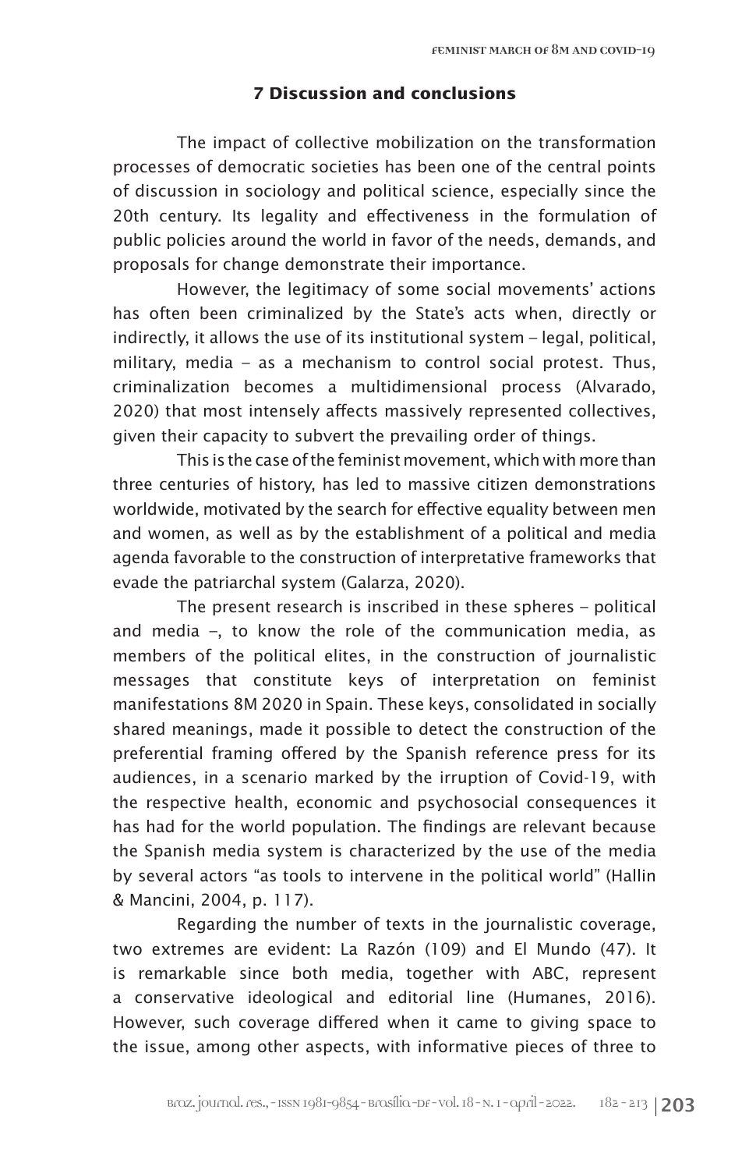# **7 Discussion and conclusions**

The impact of collective mobilization on the transformation processes of democratic societies has been one of the central points of discussion in sociology and political science, especially since the 20th century. Its legality and effectiveness in the formulation of public policies around the world in favor of the needs, demands, and proposals for change demonstrate their importance.

However, the legitimacy of some social movements' actions has often been criminalized by the State's acts when, directly or indirectly, it allows the use of its institutional system – legal, political, military, media – as a mechanism to control social protest. Thus, criminalization becomes a multidimensional process (Alvarado, 2020) that most intensely affects massively represented collectives, given their capacity to subvert the prevailing order of things.

This is the case of the feminist movement, which with more than three centuries of history, has led to massive citizen demonstrations worldwide, motivated by the search for effective equality between men and women, as well as by the establishment of a political and media agenda favorable to the construction of interpretative frameworks that evade the patriarchal system (Galarza, 2020).

The present research is inscribed in these spheres – political and media –, to know the role of the communication media, as members of the political elites, in the construction of journalistic messages that constitute keys of interpretation on feminist manifestations 8M 2020 in Spain. These keys, consolidated in socially shared meanings, made it possible to detect the construction of the preferential framing offered by the Spanish reference press for its audiences, in a scenario marked by the irruption of Covid-19, with the respective health, economic and psychosocial consequences it has had for the world population. The findings are relevant because the Spanish media system is characterized by the use of the media by several actors "as tools to intervene in the political world" (Hallin & Mancini, 2004, p. 117).

Regarding the number of texts in the journalistic coverage, two extremes are evident: La Razón (109) and El Mundo (47). It is remarkable since both media, together with ABC, represent a conservative ideological and editorial line (Humanes, 2016). However, such coverage differed when it came to giving space to the issue, among other aspects, with informative pieces of three to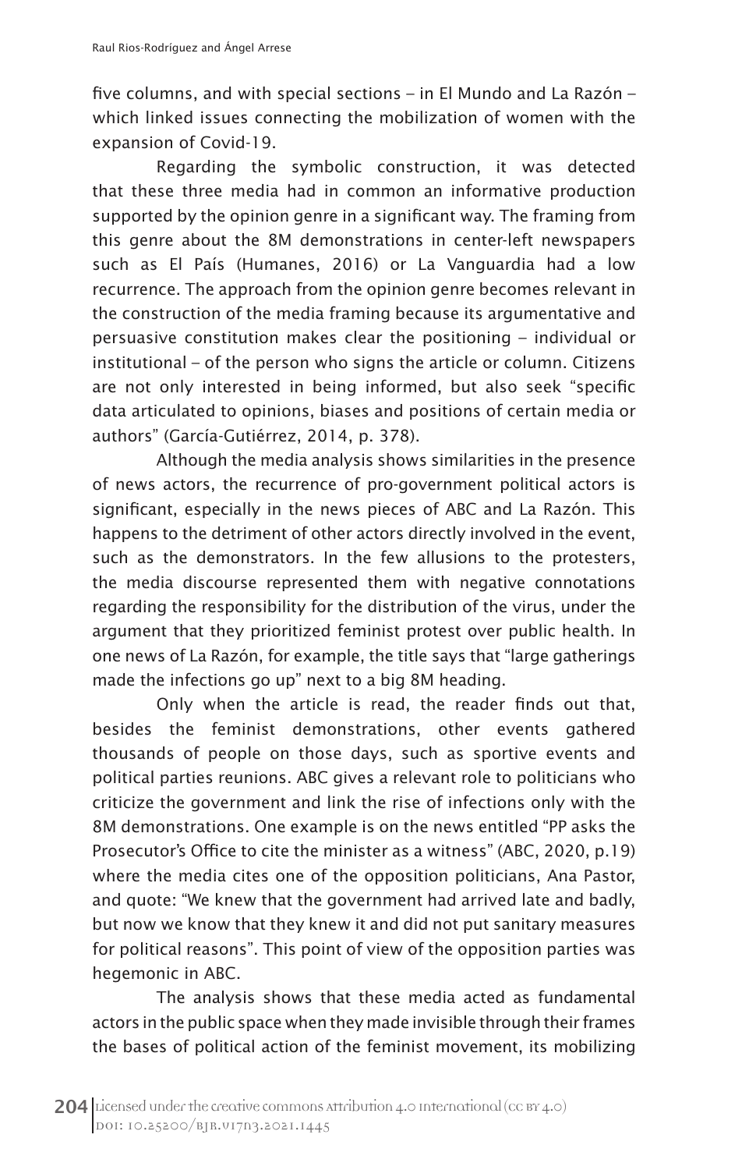five columns, and with special sections – in El Mundo and La Razón – which linked issues connecting the mobilization of women with the expansion of Covid-19.

Regarding the symbolic construction, it was detected that these three media had in common an informative production supported by the opinion genre in a significant way. The framing from this genre about the 8M demonstrations in center-left newspapers such as El País (Humanes, 2016) or La Vanguardia had a low recurrence. The approach from the opinion genre becomes relevant in the construction of the media framing because its argumentative and persuasive constitution makes clear the positioning – individual or institutional – of the person who signs the article or column. Citizens are not only interested in being informed, but also seek "specific data articulated to opinions, biases and positions of certain media or authors" (García-Gutiérrez, 2014, p. 378).

Although the media analysis shows similarities in the presence of news actors, the recurrence of pro-government political actors is significant, especially in the news pieces of ABC and La Razón. This happens to the detriment of other actors directly involved in the event, such as the demonstrators. In the few allusions to the protesters, the media discourse represented them with negative connotations regarding the responsibility for the distribution of the virus, under the argument that they prioritized feminist protest over public health. In one news of La Razón, for example, the title says that "large gatherings made the infections go up" next to a big 8M heading.

Only when the article is read, the reader finds out that, besides the feminist demonstrations, other events gathered thousands of people on those days, such as sportive events and political parties reunions. ABC gives a relevant role to politicians who criticize the government and link the rise of infections only with the 8M demonstrations. One example is on the news entitled "PP asks the Prosecutor's Office to cite the minister as a witness" (ABC, 2020, p.19) where the media cites one of the opposition politicians, Ana Pastor, and quote: "We knew that the government had arrived late and badly, but now we know that they knew it and did not put sanitary measures for political reasons". This point of view of the opposition parties was hegemonic in ABC.

The analysis shows that these media acted as fundamental actors in the public space when they made invisible through their frames the bases of political action of the feminist movement, its mobilizing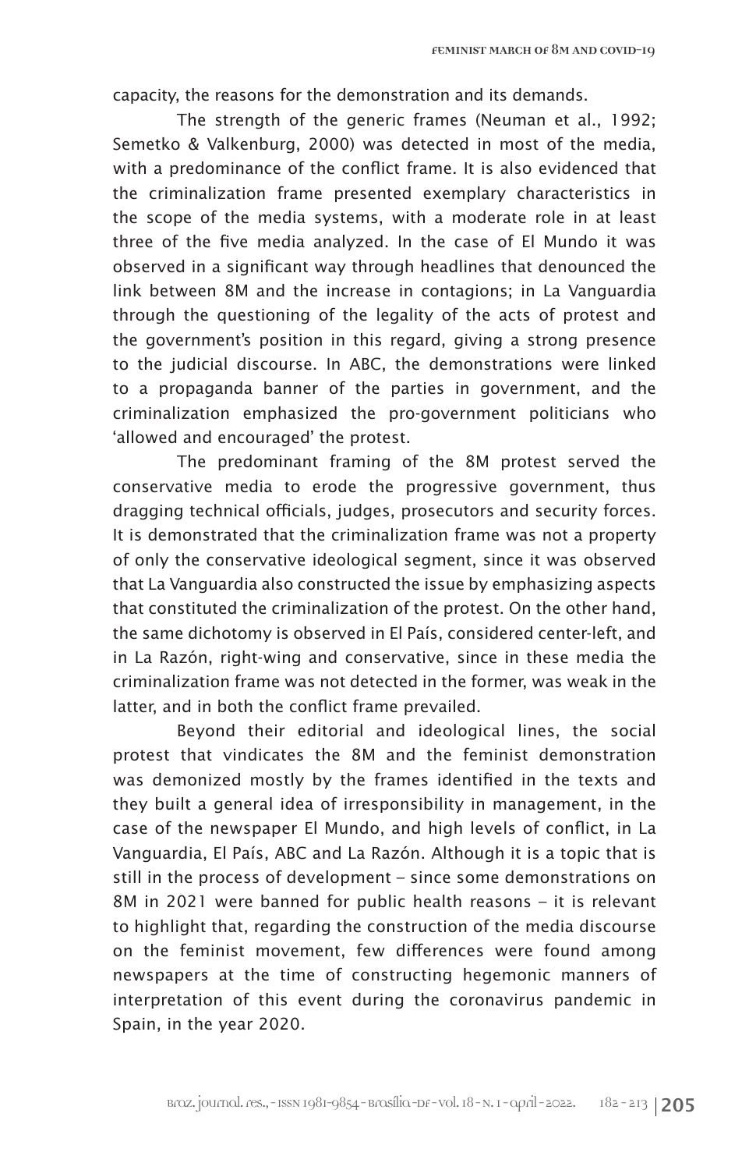capacity, the reasons for the demonstration and its demands.

The strength of the generic frames (Neuman et al., 1992; Semetko & Valkenburg, 2000) was detected in most of the media, with a predominance of the conflict frame. It is also evidenced that the criminalization frame presented exemplary characteristics in the scope of the media systems, with a moderate role in at least three of the five media analyzed. In the case of El Mundo it was observed in a significant way through headlines that denounced the link between 8M and the increase in contagions; in La Vanguardia through the questioning of the legality of the acts of protest and the government's position in this regard, giving a strong presence to the judicial discourse. In ABC, the demonstrations were linked to a propaganda banner of the parties in government, and the criminalization emphasized the pro-government politicians who 'allowed and encouraged' the protest.

The predominant framing of the 8M protest served the conservative media to erode the progressive government, thus dragging technical officials, judges, prosecutors and security forces. It is demonstrated that the criminalization frame was not a property of only the conservative ideological segment, since it was observed that La Vanguardia also constructed the issue by emphasizing aspects that constituted the criminalization of the protest. On the other hand, the same dichotomy is observed in El País, considered center-left, and in La Razón, right-wing and conservative, since in these media the criminalization frame was not detected in the former, was weak in the latter, and in both the conflict frame prevailed.

Beyond their editorial and ideological lines, the social protest that vindicates the 8M and the feminist demonstration was demonized mostly by the frames identified in the texts and they built a general idea of irresponsibility in management, in the case of the newspaper El Mundo, and high levels of conflict, in La Vanguardia, El País, ABC and La Razón. Although it is a topic that is still in the process of development – since some demonstrations on 8M in 2021 were banned for public health reasons – it is relevant to highlight that, regarding the construction of the media discourse on the feminist movement, few differences were found among newspapers at the time of constructing hegemonic manners of interpretation of this event during the coronavirus pandemic in Spain, in the year 2020.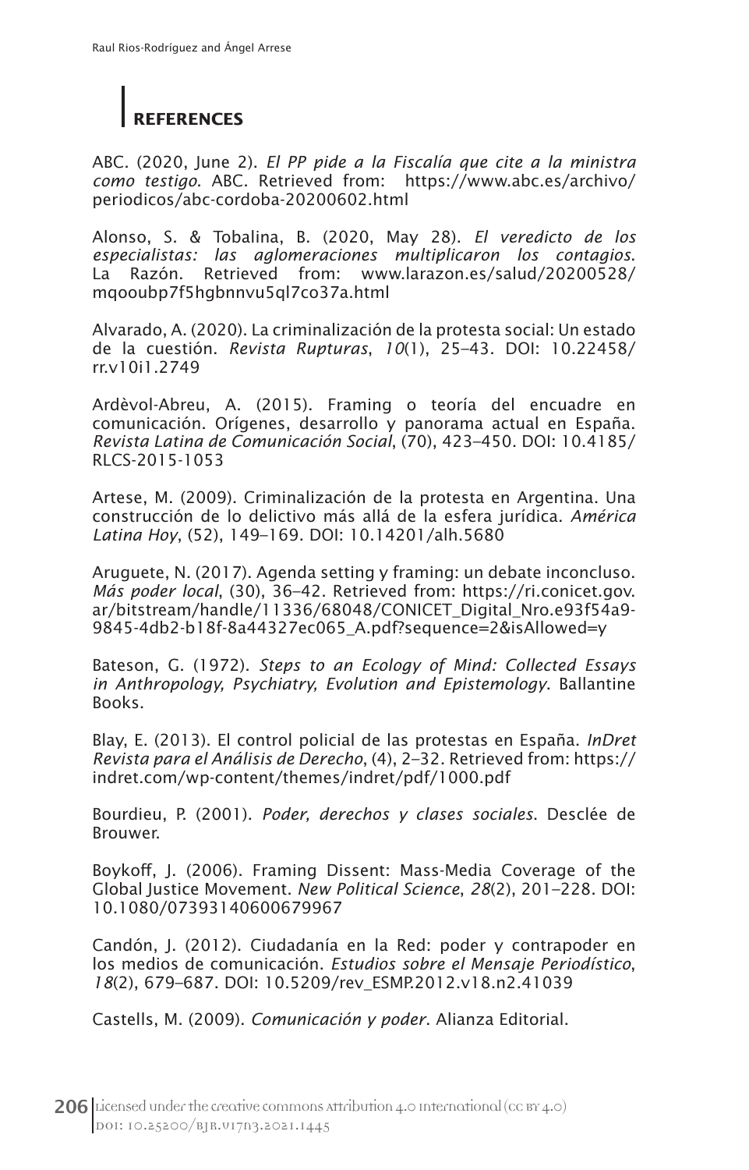# **REFERENCES**

ABC. (2020, June 2). *El PP pide a la Fiscalía que cite a la ministra como testigo*. ABC. Retrieved from: https://www.abc.es/archivo/ periodicos/abc-cordoba-20200602.html

Alonso, S. & Tobalina, B. (2020, May 28). *El veredicto de los especialistas: las aglomeraciones multiplicaron los contagios*. La Razón. Retrieved from: www.larazon.es/salud/20200528/ mqooubp7f5hgbnnvu5ql7co37a.html

Alvarado, A. (2020). La criminalización de la protesta social: Un estado de la cuestión. *Revista Rupturas*, *10*(1), 25–43. DOI: 10.22458/ rr.v10i1.2749

Ardèvol-Abreu, A. (2015). Framing o teoría del encuadre en comunicación. Orígenes, desarrollo y panorama actual en España. *Revista Latina de Comunicación Social*, (70), 423–450. DOI: 10.4185/ RLCS-2015-1053

Artese, M. (2009). Criminalización de la protesta en Argentina. Una construcción de lo delictivo más allá de la esfera jurídica. *América Latina Hoy*, (52), 149–169. DOI: 10.14201/alh.5680

Aruguete, N. (2017). Agenda setting y framing: un debate inconcluso. *Más poder local*, (30), 36–42. Retrieved from: https://ri.conicet.gov. ar/bitstream/handle/11336/68048/CONICET\_Digital\_Nro.e93f54a9- 9845-4db2-b18f-8a44327ec065\_A.pdf?sequence=2&isAllowed=y

Bateson, G. (1972). *Steps to an Ecology of Mind: Collected Essays in Anthropology, Psychiatry, Evolution and Epistemology*. Ballantine Books.

Blay, E. (2013). El control policial de las protestas en España. *InDret Revista para el Análisis de Derecho*, (4), 2–32. Retrieved from: https:// indret.com/wp-content/themes/indret/pdf/1000.pdf

Bourdieu, P. (2001). *Poder, derechos y clases sociales*. Desclée de Brouwer.

Boykoff, J. (2006). Framing Dissent: Mass-Media Coverage of the Global Justice Movement. *New Political Science*, *28*(2), 201–228. DOI: 10.1080/07393140600679967

Candón, J. (2012). Ciudadanía en la Red: poder y contrapoder en los medios de comunicación. *Estudios sobre el Mensaje Periodístico*, *18*(2), 679–687. DOI: 10.5209/rev\_ESMP.2012.v18.n2.41039

Castells, M. (2009). *Comunicación y poder*. Alianza Editorial.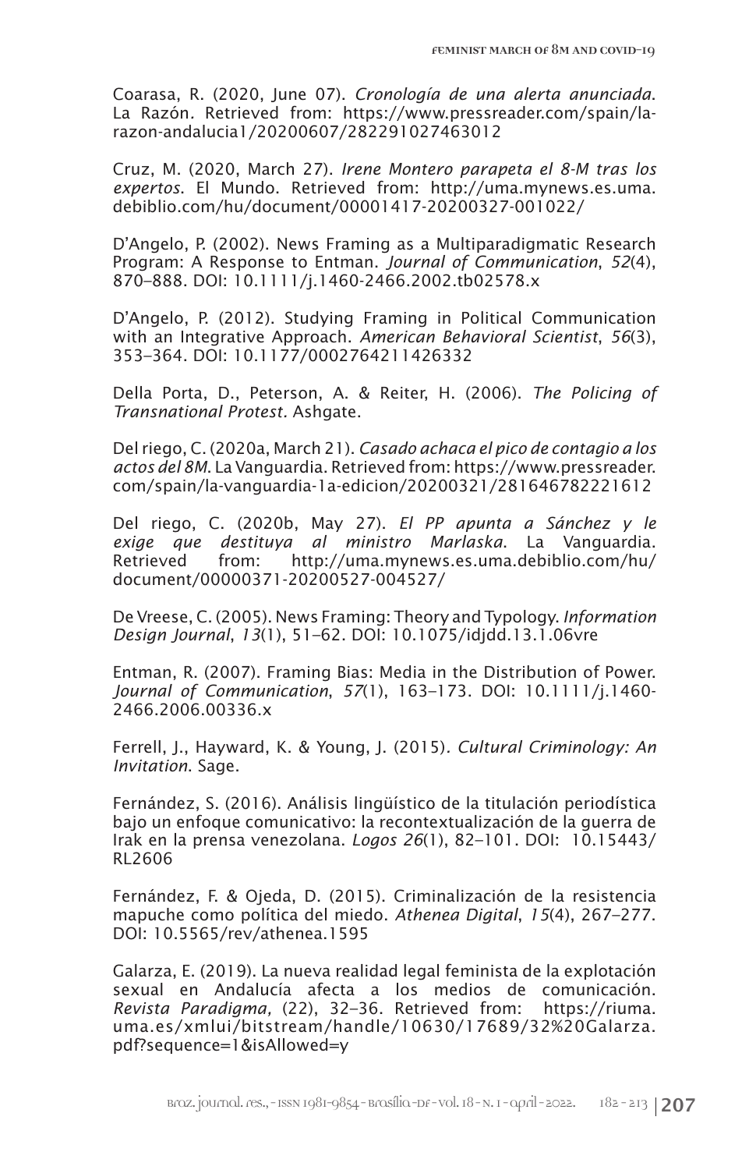Coarasa, R. (2020, June 07). *Cronología de una alerta anunciada*. La Razón*.* Retrieved from: https://www.pressreader.com/spain/larazon-andalucia1/20200607/282291027463012

Cruz, M. (2020, March 27). *Irene Montero parapeta el 8-M tras los expertos*. El Mundo. Retrieved from: http://uma.mynews.es.uma. debiblio.com/hu/document/00001417-20200327-001022/

D'Angelo, P. (2002). News Framing as a Multiparadigmatic Research Program: A Response to Entman. *Journal of Communication*, *52*(4), 870–888. DOI: 10.1111/j.1460-2466.2002.tb02578.x

D'Angelo, P. (2012). Studying Framing in Political Communication with an Integrative Approach. *American Behavioral Scientist*, *56*(3), 353–364. DOI: 10.1177/0002764211426332

Della Porta, D., Peterson, A. & Reiter, H. (2006). *The Policing of Transnational Protest.* Ashgate.

Del riego, C. (2020a, March 21). *Casado achaca el pico de contagio a los actos del 8M*. La Vanguardia. Retrieved from: https://www.pressreader. com/spain/la-vanguardia-1a-edicion/20200321/281646782221612

Del riego, C. (2020b, May 27). *El PP apunta a Sánchez y le exige que destituya al ministro Marlaska*. La Vanguardia. Retrieved from: http://uma.mynews.es.uma.debiblio.com/hu/ document/00000371-20200527-004527/

De Vreese, C. (2005). News Framing: Theory and Typology. *Information Design Journal*, *13*(1), 51–62. DOI: 10.1075/idjdd.13.1.06vre

Entman, R. (2007). Framing Bias: Media in the Distribution of Power. *Journal of Communication*, *57*(1), 163–173. DOI: 10.1111/j.1460- 2466.2006.00336.x

Ferrell, J., Hayward, K. & Young, J. (2015)*. Cultural Criminology: An Invitation*. Sage.

Fernández, S. (2016). Análisis lingüístico de la titulación periodística bajo un enfoque comunicativo: la recontextualización de la guerra de Irak en la prensa venezolana. *Logos 26*(1), 82–101. DOI: 10.15443/ RL2606

Fernández, F. & Ojeda, D. (2015). Criminalización de la resistencia mapuche como política del miedo. *Athenea Digital*, *15*(4), 267–277. DOI: 10.5565/rev/athenea.1595

Galarza, E. (2019). La nueva realidad legal feminista de la explotación sexual en Andalucía afecta a los medios de comunicación. *Revista Paradigma,* (22), 32–36. Retrieved from: https://riuma. uma.es/xmlui/bitstream/handle/10630/17689/32%20Galarza. pdf?sequence=1&isAllowed=y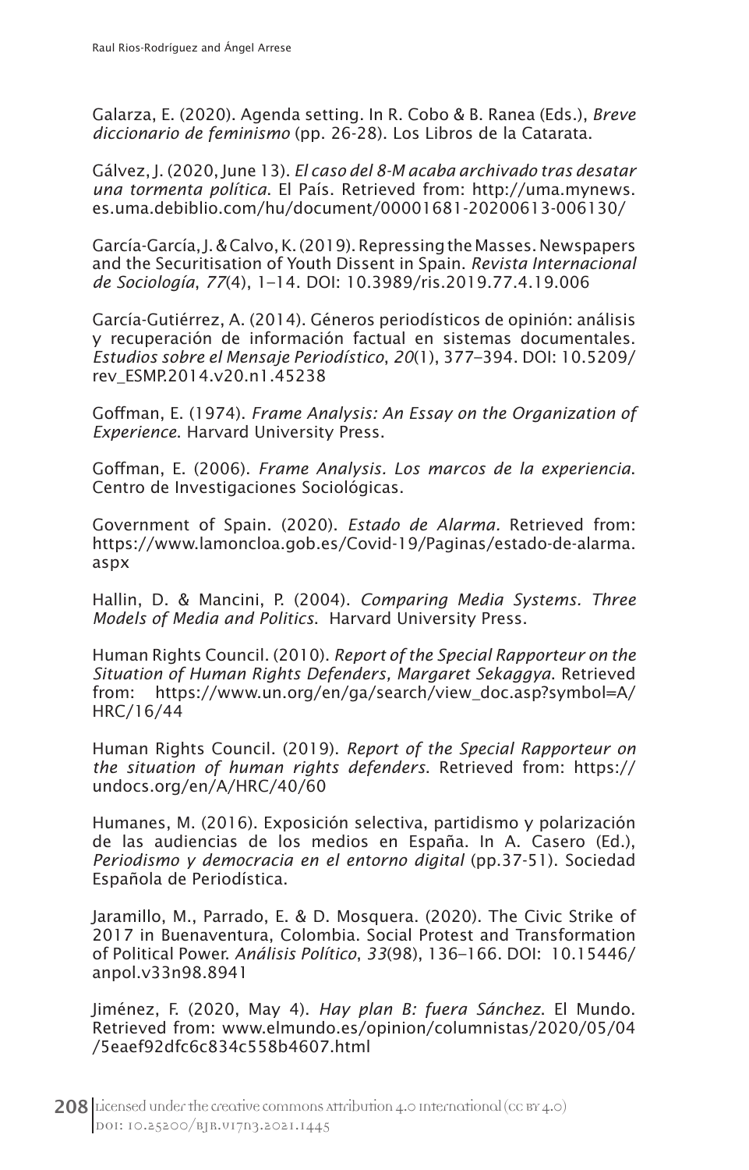Galarza, E. (2020). Agenda setting. In R. Cobo & B. Ranea (Eds.), *Breve diccionario de feminismo* (pp. 26-28). Los Libros de la Catarata.

Gálvez, J. (2020, June 13). *El caso del 8-M acaba archivado tras desatar una tormenta política*. El País. Retrieved from: http://uma.mynews. es.uma.debiblio.com/hu/document/00001681-20200613-006130/

García-García, J. & Calvo, K. (2019). Repressing the Masses. Newspapers and the Securitisation of Youth Dissent in Spain. *Revista Internacional de Sociología*, *77*(4), 1–14. DOI: 10.3989/ris.2019.77.4.19.006

García-Gutiérrez, A. (2014). Géneros periodísticos de opinión: análisis y recuperación de información factual en sistemas documentales. *Estudios sobre el Mensaje Periodístico*, *20*(1), 377–394. DOI: 10.5209/ rev\_ESMP.2014.v20.n1.45238

Goffman, E. (1974). *Frame Analysis: An Essay on the Organization of Experience*. Harvard University Press.

Goffman, E. (2006). *Frame Analysis. Los marcos de la experiencia*. Centro de Investigaciones Sociológicas.

Government of Spain. (2020). *Estado de Alarma.* Retrieved from: https://www.lamoncloa.gob.es/Covid-19/Paginas/estado-de-alarma. aspx

Hallin, D. & Mancini, P. (2004). *Comparing Media Systems. Three Models of Media and Politics*. Harvard University Press.

Human Rights Council. (2010). *Report of the Special Rapporteur on the Situation of Human Rights Defenders, Margaret Sekaggya*. Retrieved https://www.un.org/en/ga/search/view\_doc.asp?symbol=A/ HRC/16/44

Human Rights Council. (2019). *Report of the Special Rapporteur on the situation of human rights defenders*. Retrieved from: https:// undocs.org/en/A/HRC/40/60

Humanes, M. (2016). Exposición selectiva, partidismo y polarización de las audiencias de los medios en España. In A. Casero (Ed.), *Periodismo y democracia en el entorno digital* (pp.37-51). Sociedad Española de Periodística.

Jaramillo, M., Parrado, E. & D. Mosquera. (2020). The Civic Strike of 2017 in Buenaventura, Colombia. Social Protest and Transformation of Political Power. *Análisis Político*, *33*(98), 136–166. DOI: 10.15446/ anpol.v33n98.8941

Jiménez, F. (2020, May 4). *Hay plan B: fuera Sánchez*. El Mundo. Retrieved from: www.elmundo.es/opinion/columnistas/2020/05/04 /5eaef92dfc6c834c558b4607.html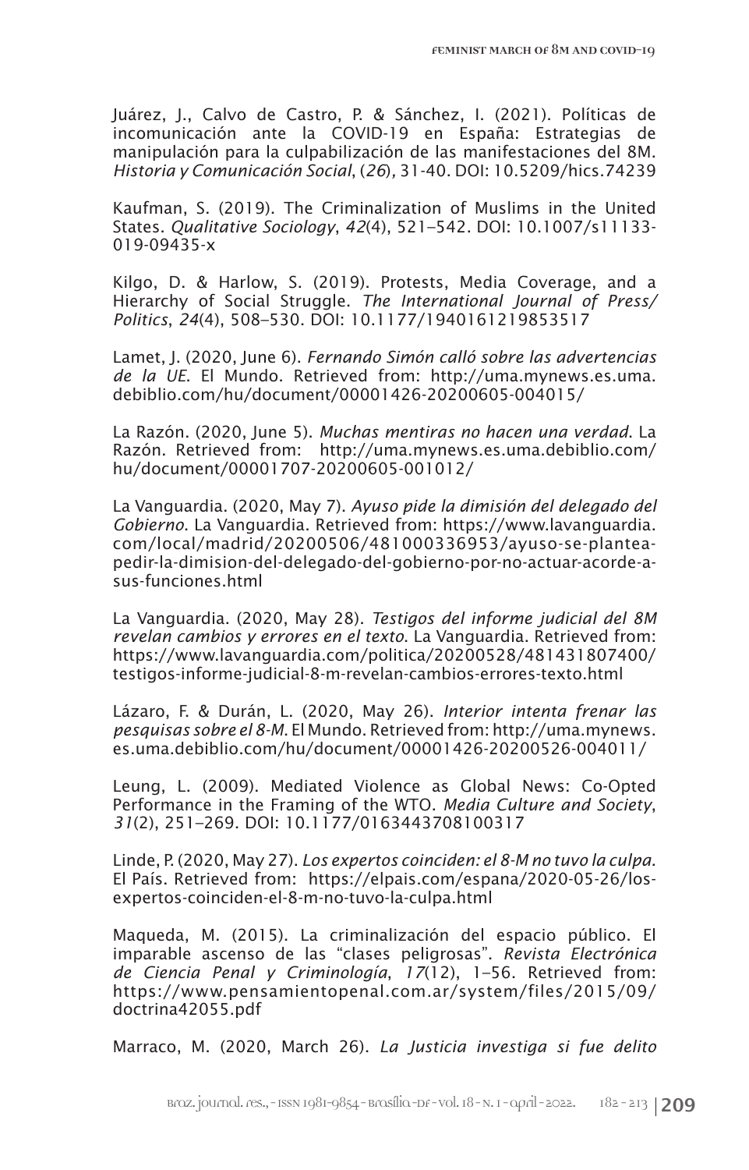Juárez, J., Calvo de Castro, P. & Sánchez, I. (2021). Políticas de incomunicación ante la COVID-19 en España: Estrategias de manipulación para la culpabilización de las manifestaciones del 8M. *Historia y Comunicación Social*, (*26*)*,* 31-40. DOI: 10.5209/hics.74239

Kaufman, S. (2019). The Criminalization of Muslims in the United States. *Qualitative Sociology*, *42*(4), 521–542. DOI: 10.1007/s11133- 019-09435-x

Kilgo, D. & Harlow, S. (2019). Protests, Media Coverage, and a Hierarchy of Social Struggle. *The International Journal of Press/ Politics*, *24*(4), 508–530. DOI: 10.1177/1940161219853517

Lamet, J. (2020, June 6). *Fernando Simón calló sobre las advertencias de la UE*. El Mundo. Retrieved from: http://uma.mynews.es.uma. debiblio.com/hu/document/00001426-20200605-004015/

La Razón. (2020, June 5). *Muchas mentiras no hacen una verdad*. La Razón. Retrieved from: http://uma.mynews.es.uma.debiblio.com/ hu/document/00001707-20200605-001012/

La Vanguardia. (2020, May 7). *Ayuso pide la dimisión del delegado del Gobierno*. La Vanguardia. Retrieved from: https://www.lavanguardia. com/local/madrid/20200506/481000336953/ayuso-se-planteapedir-la-dimision-del-delegado-del-gobierno-por-no-actuar-acorde-asus-funciones.html

La Vanguardia. (2020, May 28). *Testigos del informe judicial del 8M revelan cambios y errores en el texto*. La Vanguardia. Retrieved from: https://www.lavanguardia.com/politica/20200528/481431807400/ testigos-informe-judicial-8-m-revelan-cambios-errores-texto.html

Lázaro, F. & Durán, L. (2020, May 26). *Interior intenta frenar las pesquisas sobre el 8-M*. El Mundo. Retrieved from: http://uma.mynews. es.uma.debiblio.com/hu/document/00001426-20200526-004011/

Leung, L. (2009). Mediated Violence as Global News: Co-Opted Performance in the Framing of the WTO. *Media Culture and Society*, *31*(2), 251–269. DOI: 10.1177/0163443708100317

Linde, P. (2020, May 27). *Los expertos coinciden: el 8-M no tuvo la culpa*. El País. Retrieved from: https://elpais.com/espana/2020-05-26/losexpertos-coinciden-el-8-m-no-tuvo-la-culpa.html

Maqueda, M. (2015). La criminalización del espacio público. El imparable ascenso de las "clases peligrosas". *Revista Electrónica de Ciencia Penal y Criminología*, *17*(12), 1–56. Retrieved from: https://www.pensamientopenal.com.ar/system/files/2015/09/ doctrina42055.pdf

Marraco, M. (2020, March 26). *La Justicia investiga si fue delito*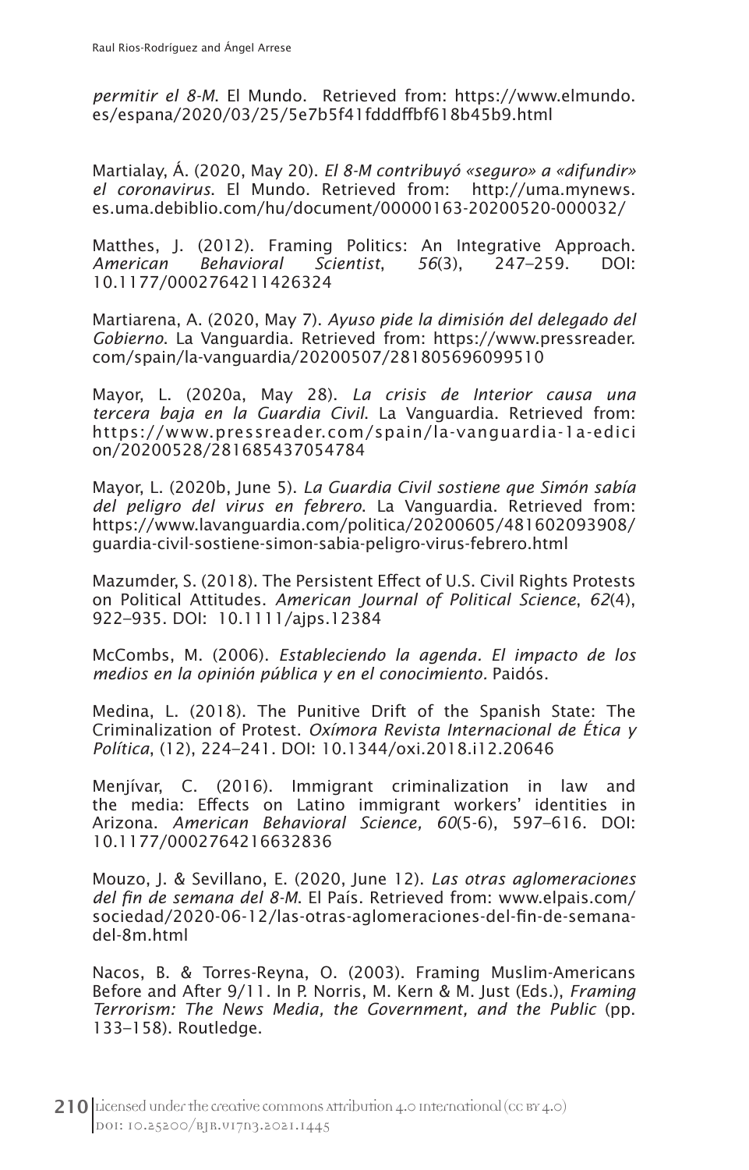*permitir el 8-M*. El Mundo. Retrieved from: https://www.elmundo. es/espana/2020/03/25/5e7b5f41fdddffbf618b45b9.html

Martialay, Á. (2020, May 20). *El 8-M contribuyó «seguro» a «difundir» el coronavirus*. El Mundo. Retrieved from: http://uma.mynews. es.uma.debiblio.com/hu/document/00000163-20200520-000032/

Matthes, J. (2012). Framing Politics: An Integrative Approach.<br>American Behavioral Scientist. 56(3). 247–259. DOI: *American Behavioral Scientist*, *56*(3), 247–259. DOI: 10.1177/0002764211426324

Martiarena, A. (2020, May 7). *Ayuso pide la dimisión del delegado del Gobierno*. La Vanguardia. Retrieved from: https://www.pressreader. com/spain/la-vanguardia/20200507/281805696099510

Mayor, L. (2020a, May 28). *La crisis de Interior causa una tercera baja en la Guardia Civil*. La Vanguardia. Retrieved from: https://www.pressreader.com/spain/la-vanguardia-1a-edici on/20200528/281685437054784

Mayor, L. (2020b, June 5). *La Guardia Civil sostiene que Simón sabía del peligro del virus en febrero*. La Vanguardia. Retrieved from: https://www.lavanguardia.com/politica/20200605/481602093908/ guardia-civil-sostiene-simon-sabia-peligro-virus-febrero.html

Mazumder, S. (2018). The Persistent Effect of U.S. Civil Rights Protests on Political Attitudes. *American Journal of Political Science*, *62*(4), 922–935. DOI: 10.1111/ajps.12384

McCombs, M. (2006). *Estableciendo la agenda. El impacto de los medios en la opinión pública y en el conocimiento.* Paidós.

Medina, L. (2018). The Punitive Drift of the Spanish State: The Criminalization of Protest. *Oxímora Revista Internacional de Ética y Política*, (12), 224–241. DOI: 10.1344/oxi.2018.i12.20646

Menjívar, C. (2016). Immigrant criminalization in law and the media: Effects on Latino immigrant workers' identities in Arizona. *American Behavioral Science, 60*(5-6), 597–616. DOI: 10.1177/0002764216632836

Mouzo, J. & Sevillano, E. (2020, June 12). *Las otras aglomeraciones del fin de semana del 8-M*. El País. Retrieved from: www.elpais.com/ sociedad/2020-06-12/las-otras-aglomeraciones-del-fin-de-semanadel-8m.html

Nacos, B. & Torres-Reyna, O. (2003). Framing Muslim-Americans Before and After 9/11. In P. Norris, M. Kern & M. Just (Eds.), *Framing Terrorism: The News Media, the Government, and the Public* (pp. 133–158). Routledge.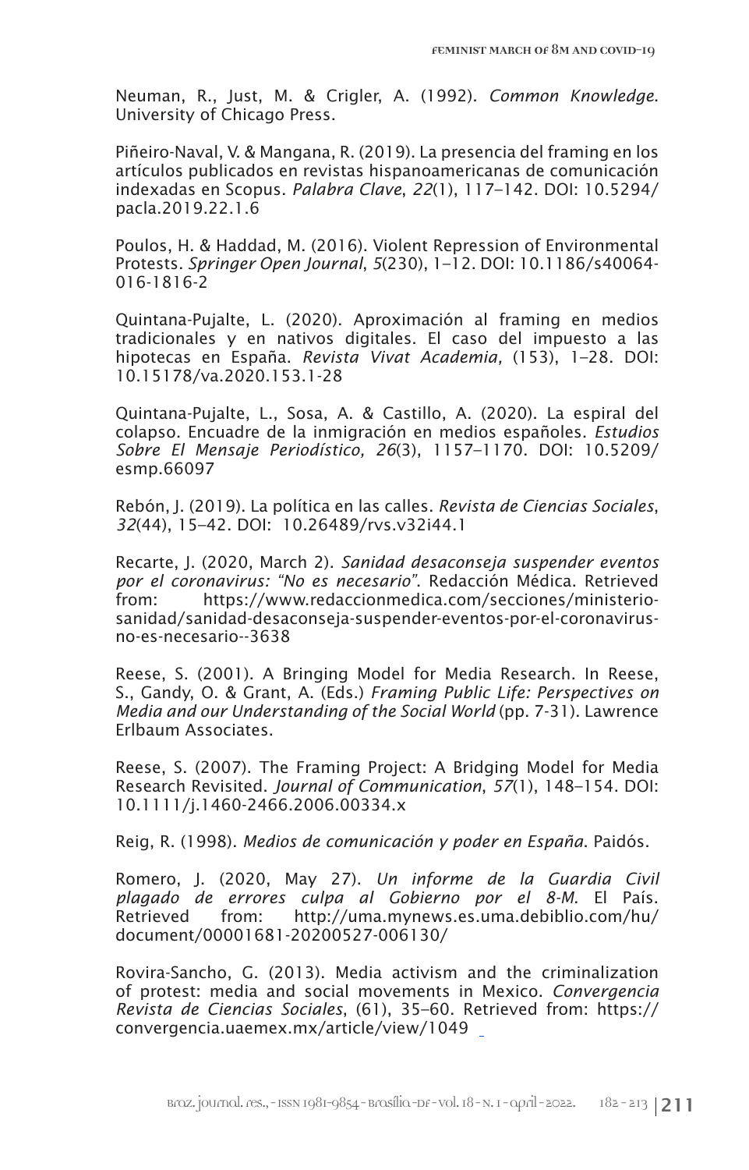Neuman, R., Just, M. & Crigler, A. (1992). *Common Knowledge*. University of Chicago Press.

Piñeiro-Naval, V. & Mangana, R. (2019). La presencia del framing en los artículos publicados en revistas hispanoamericanas de comunicación indexadas en Scopus. *Palabra Clave*, *22*(1), 117–142. DOI: 10.5294/ pacla.2019.22.1.6

Poulos, H. & Haddad, M. (2016). Violent Repression of Environmental Protests. *Springer Open Journal*, *5*(230), 1–12. DOI: 10.1186/s40064- 016-1816-2

Quintana-Pujalte, L. (2020). Aproximación al framing en medios tradicionales y en nativos digitales. El caso del impuesto a las hipotecas en España. *Revista Vivat Academia,* (153), 1–28. DOI: 10.15178/va.2020.153.1-28

Quintana-Pujalte, L., Sosa, A. & Castillo, A. (2020). La espiral del colapso. Encuadre de la inmigración en medios españoles. *Estudios Sobre El Mensaje Periodístico, 26*(3), 1157–1170. DOI: 10.5209/ esmp.66097

Rebón, J. (2019). La política en las calles. *Revista de Ciencias Sociales*, *32*(44), 15–42. DOI: 10.26489/rvs.v32i44.1

Recarte, J. (2020, March 2). *Sanidad desaconseja suspender eventos por el coronavirus: "No es necesario"*. Redacción Médica. Retrieved https://www.redaccionmedica.com/secciones/ministeriosanidad/sanidad-desaconseja-suspender-eventos-por-el-coronavirusno-es-necesario--3638

Reese, S. (2001). A Bringing Model for Media Research. In Reese, S., Gandy, O. & Grant, A. (Eds.) *Framing Public Life: Perspectives on Media and our Understanding of the Social World* (pp. 7-31). Lawrence Erlbaum Associates.

Reese, S. (2007). The Framing Project: A Bridging Model for Media Research Revisited. *Journal of Communication*, *57*(1), 148–154. DOI: 10.1111/j.1460-2466.2006.00334.x

Reig, R. (1998). *Medios de comunicación y poder en España*. Paidós.

Romero, J. (2020, May 27). *Un informe de la Guardia Civil plagado de errores culpa al Gobierno por el 8-M*. El País. Retrieved from: http://uma.mynews.es.uma.debiblio.com/hu/ document/00001681-20200527-006130/

Rovira-Sancho, G. (2013). Media activism and the criminalization of protest: media and social movements in Mexico. *Convergencia Revista de Ciencias Sociales*, (61), 35–60. Retrieved from: https:// convergencia.uaemex.mx/article/view/1049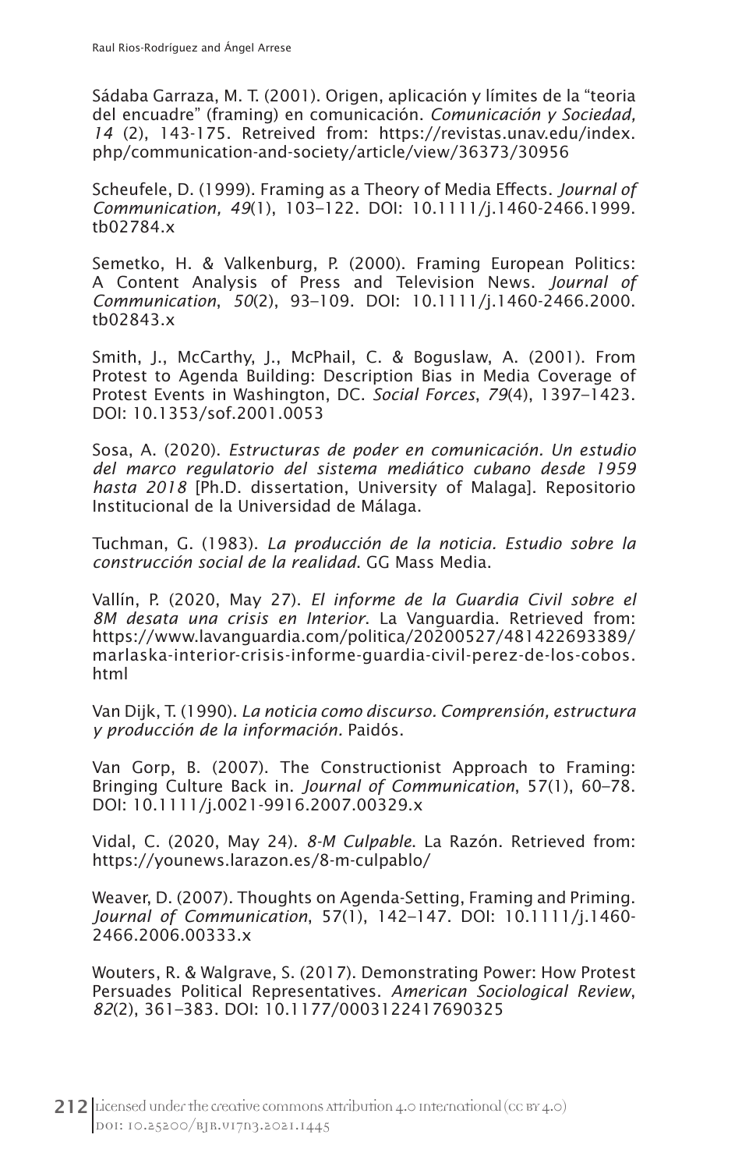Sádaba Garraza, M. T. (2001). Origen, aplicación y límites de la "teoria del encuadre" (framing) en comunicación. *Comunicación y Sociedad, 14* (2), 143-175. Retreived from: https://revistas.unav.edu/index. php/communication-and-society/article/view/36373/30956

Scheufele, D. (1999). Framing as a Theory of Media Effects. *Journal of Communication, 49*(1), 103–122. DOI: 10.1111/j.1460-2466.1999. tb02784.x

Semetko, H. & Valkenburg, P. (2000). Framing European Politics: A Content Analysis of Press and Television News. *Journal of Communication*, *50*(2), 93–109. DOI: 10.1111/j.1460-2466.2000. tb02843.x

Smith, J., McCarthy, J., McPhail, C. & Boguslaw, A. (2001). From Protest to Agenda Building: Description Bias in Media Coverage of Protest Events in Washington, DC. *Social Forces*, *79*(4), 1397–1423. DOI: 10.1353/sof.2001.0053

Sosa, A. (2020). *Estructuras de poder en comunicación. Un estudio del marco regulatorio del sistema mediático cubano desde 1959 hasta 2018* [Ph.D. dissertation, University of Malaga]. Repositorio Institucional de la Universidad de Málaga.

Tuchman, G. (1983). *La producción de la noticia. Estudio sobre la construcción social de la realidad*. GG Mass Media.

Vallín, P. (2020, May 27). *El informe de la Guardia Civil sobre el 8M desata una crisis en Interior*. La Vanguardia. Retrieved from: https://www.lavanguardia.com/politica/20200527/481422693389/ marlaska-interior-crisis-informe-guardia-civil-perez-de-los-cobos. html

Van Dijk, T. (1990). *La noticia como discurso. Comprensión, estructura y producción de la información.* Paidós.

Van Gorp, B. (2007). The Constructionist Approach to Framing: Bringing Culture Back in. *Journal of Communication*, 57(1), 60–78. DOI: 10.1111/j.0021-9916.2007.00329.x

Vidal, C. (2020, May 24). *8-M Culpable*. La Razón. Retrieved from: https://younews.larazon.es/8-m-culpablo/

Weaver, D. (2007). Thoughts on Agenda-Setting, Framing and Priming. *Journal of Communication*, 57(1), 142–147. DOI: 10.1111/j.1460- 2466.2006.00333.x

Wouters, R. & Walgrave, S. (2017). Demonstrating Power: How Protest Persuades Political Representatives. *American Sociological Review*, *82*(2), 361–383. DOI: 10.1177/0003122417690325